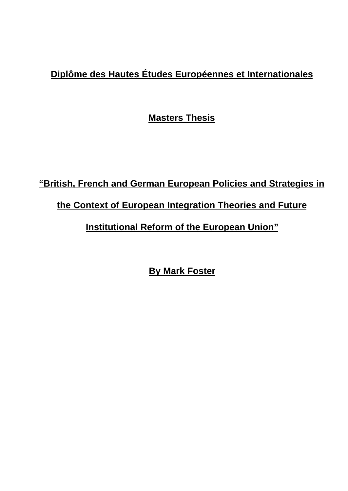# **Diplôme des Hautes Études Européennes et Internationales**

**Masters Thesis**

# **"British, French and German European Policies and Strategies in the Context of European Integration Theories and Future Institutional Reform of the European Union"**

**By Mark Foster**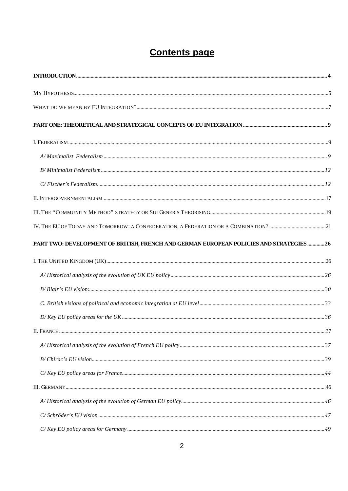# **Contents page**

| C/ Fischer's Federalism: 12                                                             |  |
|-----------------------------------------------------------------------------------------|--|
|                                                                                         |  |
|                                                                                         |  |
|                                                                                         |  |
| PART TWO: DEVELOPMENT OF BRITISH, FRENCH AND GERMAN EUROPEAN POLICIES AND STRATEGIES 26 |  |
|                                                                                         |  |
|                                                                                         |  |
|                                                                                         |  |
|                                                                                         |  |
|                                                                                         |  |
|                                                                                         |  |
|                                                                                         |  |
|                                                                                         |  |
|                                                                                         |  |
|                                                                                         |  |
|                                                                                         |  |
|                                                                                         |  |
|                                                                                         |  |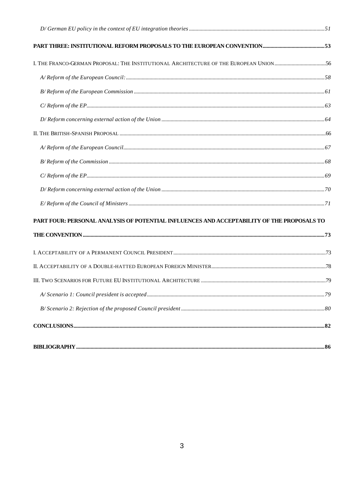| I. THE FRANCO-GERMAN PROPOSAL: THE INSTITUTIONAL ARCHITECTURE OF THE EUROPEAN UNION 56                                                                                                                                                                                                                                                                                                                                                                                                                  |  |
|---------------------------------------------------------------------------------------------------------------------------------------------------------------------------------------------------------------------------------------------------------------------------------------------------------------------------------------------------------------------------------------------------------------------------------------------------------------------------------------------------------|--|
|                                                                                                                                                                                                                                                                                                                                                                                                                                                                                                         |  |
|                                                                                                                                                                                                                                                                                                                                                                                                                                                                                                         |  |
|                                                                                                                                                                                                                                                                                                                                                                                                                                                                                                         |  |
|                                                                                                                                                                                                                                                                                                                                                                                                                                                                                                         |  |
|                                                                                                                                                                                                                                                                                                                                                                                                                                                                                                         |  |
|                                                                                                                                                                                                                                                                                                                                                                                                                                                                                                         |  |
|                                                                                                                                                                                                                                                                                                                                                                                                                                                                                                         |  |
|                                                                                                                                                                                                                                                                                                                                                                                                                                                                                                         |  |
|                                                                                                                                                                                                                                                                                                                                                                                                                                                                                                         |  |
|                                                                                                                                                                                                                                                                                                                                                                                                                                                                                                         |  |
| PART FOUR: PERSONAL ANALYSIS OF POTENTIAL INFLUENCES AND ACCEPTABILITY OF THE PROPOSALS TO                                                                                                                                                                                                                                                                                                                                                                                                              |  |
|                                                                                                                                                                                                                                                                                                                                                                                                                                                                                                         |  |
|                                                                                                                                                                                                                                                                                                                                                                                                                                                                                                         |  |
|                                                                                                                                                                                                                                                                                                                                                                                                                                                                                                         |  |
|                                                                                                                                                                                                                                                                                                                                                                                                                                                                                                         |  |
|                                                                                                                                                                                                                                                                                                                                                                                                                                                                                                         |  |
|                                                                                                                                                                                                                                                                                                                                                                                                                                                                                                         |  |
| $\textbf{CONCLUSIONS} \textcolor{red}{}\textcolor{red}{\textbf{}}\textcolor{red}{\textbf{}}\textcolor{red}{\textbf{}}\textcolor{red}{\textbf{}}\textcolor{red}{\textbf{}}\textcolor{red}{\textbf{}}\textcolor{red}{\textbf{}}\textcolor{red}{\textbf{}}\textcolor{red}{\textbf{}}\textcolor{red}{\textbf{}}\textcolor{red}{\textbf{}}\textcolor{red}{\textbf{}}\textcolor{red}{\textbf{}}\textcolor{red}{\textbf{}}\textcolor{red}{\textbf{}}\textcolor{red}{\textbf{}}\textcolor{red}{\textbf{}}\text$ |  |
|                                                                                                                                                                                                                                                                                                                                                                                                                                                                                                         |  |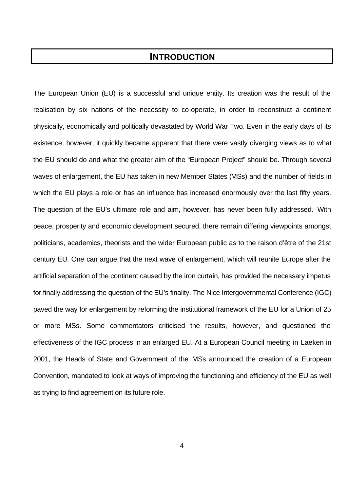## **INTRODUCTION**

The European Union (EU) is a successful and unique entity. Its creation was the result of the realisation by six nations of the necessity to co-operate, in order to reconstruct a continent physically, economically and politically devastated by World War Two. Even in the early days of its existence, however, it quickly became apparent that there were vastly diverging views as to what the EU should do and what the greater aim of the "European Project" should be. Through several waves of enlargement, the EU has taken in new Member States (MSs) and the number of fields in which the EU plays a role or has an influence has increased enormously over the last fifty years. The question of the EU's ultimate role and aim, however, has never been fully addressed. With peace, prosperity and economic development secured, there remain differing viewpoints amongst politicians, academics, theorists and the wider European public as to the raison d'être of the 21st century EU. One can argue that the next wave of enlargement, which will reunite Europe after the artificial separation of the continent caused by the iron curtain, has provided the necessary impetus for finally addressing the question of the EU's finality. The Nice Intergovernmental Conference (IGC) paved the way for enlargement by reforming the institutional framework of the EU for a Union of 25 or more MSs. Some commentators criticised the results, however, and questioned the effectiveness of the IGC process in an enlarged EU. At a European Council meeting in Laeken in 2001, the Heads of State and Government of the MSs announced the creation of a European Convention, mandated to look at ways of improving the functioning and efficiency of the EU as well as trying to find agreement on its future role.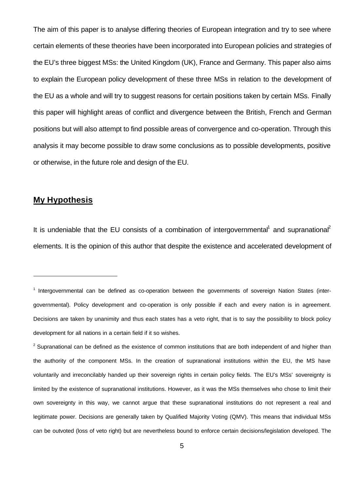The aim of this paper is to analyse differing theories of European integration and try to see where certain elements of these theories have been incorporated into European policies and strategies of the EU's three biggest MSs: the United Kingdom (UK), France and Germany. This paper also aims to explain the European policy development of these three MSs in relation to the development of the EU as a whole and will try to suggest reasons for certain positions taken by certain MSs. Finally this paper will highlight areas of conflict and divergence between the British, French and German positions but will also attempt to find possible areas of convergence and co-operation. Through this analysis it may become possible to draw some conclusions as to possible developments, positive or otherwise, in the future role and design of the EU.

### **My Hypothesis**

j

It is undeniable that the EU consists of a combination of intergovernmental<sup>1</sup> and supranational<sup>2</sup> elements. It is the opinion of this author that despite the existence and accelerated development of

<sup>&</sup>lt;sup>1</sup> Intergovernmental can be defined as co-operation between the governments of sovereign Nation States (intergovernmental). Policy development and co-operation is only possible if each and every nation is in agreement. Decisions are taken by unanimity and thus each states has a veto right, that is to say the possibility to block policy development for all nations in a certain field if it so wishes.

 $2$  Supranational can be defined as the existence of common institutions that are both independent of and higher than the authority of the component MSs. In the creation of supranational institutions within the EU, the MS have voluntarily and irreconcilably handed up their sovereign rights in certain policy fields. The EU's MSs' sovereignty is limited by the existence of supranational institutions. However, as it was the MSs themselves who chose to limit their own sovereignty in this way, we cannot argue that these supranational institutions do not represent a real and legitimate power. Decisions are generally taken by Qualified Majority Voting (QMV). This means that individual MSs can be outvoted (loss of veto right) but are nevertheless bound to enforce certain decisions/legislation developed. The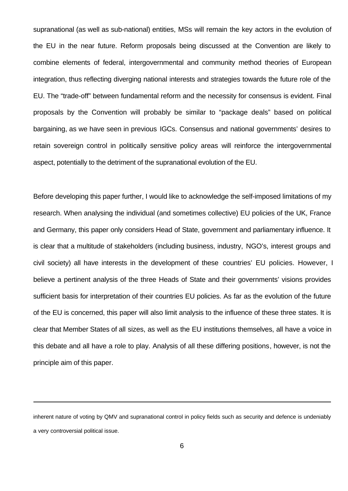supranational (as well as sub-national) entities, MSs will remain the key actors in the evolution of the EU in the near future. Reform proposals being discussed at the Convention are likely to combine elements of federal, intergovernmental and community method theories of European integration, thus reflecting diverging national interests and strategies towards the future role of the EU. The "trade-off" between fundamental reform and the necessity for consensus is evident. Final proposals by the Convention will probably be similar to "package deals" based on political bargaining, as we have seen in previous IGCs. Consensus and national governments' desires to retain sovereign control in politically sensitive policy areas will reinforce the intergovernmental aspect, potentially to the detriment of the supranational evolution of the EU.

Before developing this paper further, I would like to acknowledge the self-imposed limitations of my research. When analysing the individual (and sometimes collective) EU policies of the UK, France and Germany, this paper only considers Head of State, government and parliamentary influence. It is clear that a multitude of stakeholders (including business, industry, NGO's, interest groups and civil society) all have interests in the development of these countries' EU policies. However, I believe a pertinent analysis of the three Heads of State and their governments' visions provides sufficient basis for interpretation of their countries EU policies. As far as the evolution of the future of the EU is concerned, this paper will also limit analysis to the influence of these three states. It is clear that Member States of all sizes, as well as the EU institutions themselves, all have a voice in this debate and all have a role to play. Analysis of all these differing positions, however, is not the principle aim of this paper.

inherent nature of voting by QMV and supranational control in policy fields such as security and defence is undeniably a very controversial political issue.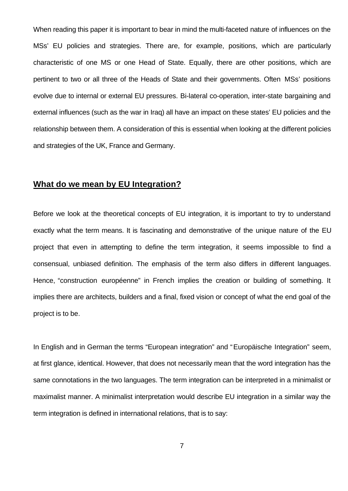When reading this paper it is important to bear in mind the multi-faceted nature of influences on the MSs' EU policies and strategies. There are, for example, positions, which are particularly characteristic of one MS or one Head of State. Equally, there are other positions, which are pertinent to two or all three of the Heads of State and their governments. Often MSs' positions evolve due to internal or external EU pressures. Bi-lateral co-operation, inter-state bargaining and external influences (such as the war in Iraq) all have an impact on these states' EU policies and the relationship between them. A consideration of this is essential when looking at the different policies and strategies of the UK, France and Germany.

### **What do we mean by EU Integration?**

Before we look at the theoretical concepts of EU integration, it is important to try to understand exactly what the term means. It is fascinating and demonstrative of the unique nature of the EU project that even in attempting to define the term integration, it seems impossible to find a consensual, unbiased definition. The emphasis of the term also differs in different languages. Hence, "construction européenne" in French implies the creation or building of something. It implies there are architects, builders and a final, fixed vision or concept of what the end goal of the project is to be.

In English and in German the terms "European integration" and "Europäische Integration" seem, at first glance, identical. However, that does not necessarily mean that the word integration has the same connotations in the two languages. The term integration can be interpreted in a minimalist or maximalist manner. A minimalist interpretation would describe EU integration in a similar way the term integration is defined in international relations, that is to say: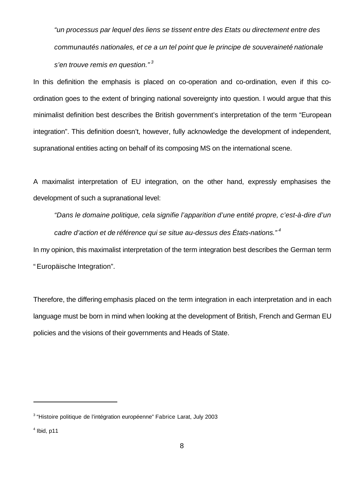*"un processus par lequel des liens se tissent entre des Etats ou directement entre des communautés nationales, et ce a un tel point que le principe de souveraineté nationale s'en trouve remis en question." <sup>3</sup>*

In this definition the emphasis is placed on co-operation and co-ordination, even if this coordination goes to the extent of bringing national sovereignty into question. I would argue that this minimalist definition best describes the British government's interpretation of the term "European integration". This definition doesn't, however, fully acknowledge the development of independent, supranational entities acting on behalf of its composing MS on the international scene.

A maximalist interpretation of EU integration, on the other hand, expressly emphasises the development of such a supranational level:

*"Dans le domaine politique, cela signifie l'apparition d'une entité propre, c'est-à-dire d'un cadre d'action et de référence qui se situe au-dessus des États-nations." <sup>4</sup>*

In my opinion, this maximalist interpretation of the term integration best describes the German term " Europäische Integration".

Therefore, the differing emphasis placed on the term integration in each interpretation and in each language must be born in mind when looking at the development of British, French and German EU policies and the visions of their governments and Heads of State.

<sup>&</sup>lt;sup>3</sup> "Histoire politique de l'intégration européenne" Fabrice Larat, July 2003

 $<sup>4</sup>$  Ibid, p11</sup>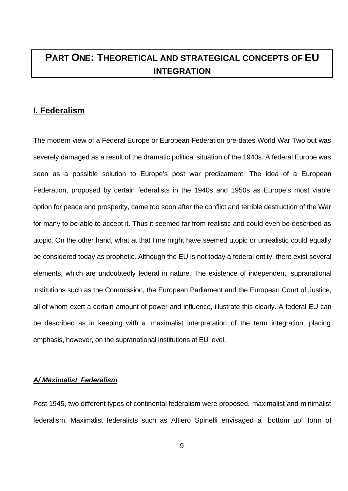# **PART ONE: THEORETICAL AND STRATEGICAL CONCEPTS OF EU INTEGRATION**

### **I. Federalism**

The modern view of a Federal Europe or European Federation pre-dates World War Two but was severely damaged as a result of the dramatic political situation of the 1940s. A federal Europe was seen as a possible solution to Europe's post war predicament. The idea of a European Federation, proposed by certain federalists in the 1940s and 1950s as Europe's most viable option for peace and prosperity, came too soon after the conflict and terrible destruction of the War for many to be able to accept it. Thus it seemed far from realistic and could even be described as utopic. On the other hand, what at that time might have seemed utopic or unrealistic could equally be considered today as prophetic. Although the EU is not today a federal entity, there exist several elements, which are undoubtedly federal in nature. The existence of independent, supranational institutions such as the Commission, the European Parliament and the European Court of Justice, all of whom exert a certain amount of power and influence, illustrate this clearly. A federal EU can be described as in keeping with a maximalist interpretation of the term integration, placing emphasis, however, on the supranational institutions at EU level.

#### *A/ Maximalist Federalism*

Post 1945, two different types of continental federalism were proposed, maximalist and minimalist federalism. Maximalist federalists such as Altiero Spinelli envisaged a "bottom up" form of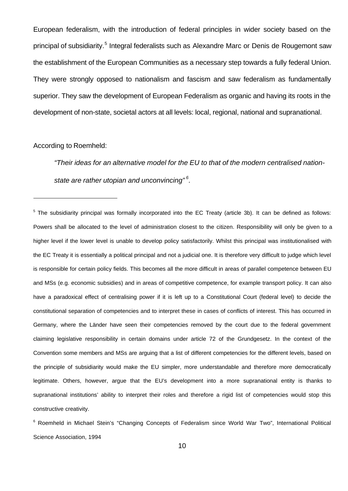European federalism, with the introduction of federal principles in wider society based on the principal of subsidiarity.<sup>5</sup> Integral federalists such as Alexandre Marc or Denis de Rougemont saw the establishment of the European Communities as a necessary step towards a fully federal Union. They were strongly opposed to nationalism and fascism and saw federalism as fundamentally superior. They saw the development of European Federalism as organic and having its roots in the development of non-state, societal actors at all levels: local, regional, national and supranational.

According to Roemheld:

l

*"Their ideas for an alternative model for the EU to that of the modern centralised nationstate are rather utopian and unconvincing" <sup>6</sup> .*

<sup>&</sup>lt;sup>5</sup> The subsidiarity principal was formally incorporated into the EC Treaty (article 3b). It can be defined as follows: Powers shall be allocated to the level of administration closest to the citizen. Responsibility will only be given to a higher level if the lower level is unable to develop policy satisfactorily. Whilst this principal was institutionalised with the EC Treaty it is essentially a political principal and not a judicial one. It is therefore very difficult to judge which level is responsible for certain policy fields. This becomes all the more difficult in areas of parallel competence between EU and MSs (e.g. economic subsidies) and in areas of competitive competence, for example transport policy. It can also have a paradoxical effect of centralising power if it is left up to a Constitutional Court (federal level) to decide the constitutional separation of competencies and to interpret these in cases of conflicts of interest. This has occurred in Germany, where the Länder have seen their competencies removed by the court due to the federal government claiming legislative responsibility in certain domains under article 72 of the Grundgesetz. In the context of the Convention some members and MSs are arguing that a list of different competencies for the different levels, based on the principle of subsidiarity would make the EU simpler, more understandable and therefore more democratically legitimate. Others, however, argue that the EU's development into a more supranational entity is thanks to supranational institutions' ability to interpret their roles and therefore a rigid list of competencies would stop this constructive creativity.

<sup>&</sup>lt;sup>6</sup> Roemheld in Michael Stein's "Changing Concepts of Federalism since World War Two", International Political Science Association, 1994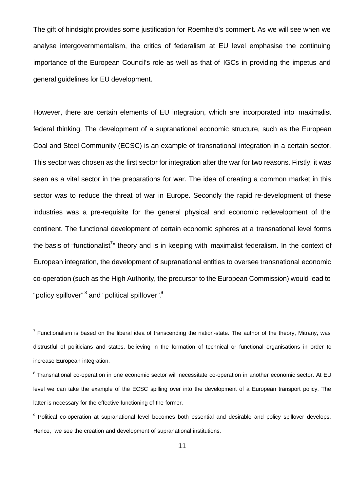The gift of hindsight provides some justification for Roemheld's comment. As we will see when we analyse intergovernmentalism, the critics of federalism at EU level emphasise the continuing importance of the European Council's role as well as that of IGCs in providing the impetus and general guidelines for EU development.

However, there are certain elements of EU integration, which are incorporated into maximalist federal thinking. The development of a supranational economic structure, such as the European Coal and Steel Community (ECSC) is an example of transnational integration in a certain sector. This sector was chosen as the first sector for integration after the war for two reasons. Firstly, it was seen as a vital sector in the preparations for war. The idea of creating a common market in this sector was to reduce the threat of war in Europe. Secondly the rapid re-development of these industries was a pre-requisite for the general physical and economic redevelopment of the continent. The functional development of certain economic spheres at a transnational level forms the basis of "functionalist<sup>7</sup>" theory and is in keeping with maximalist federalism. In the context of European integration, the development of supranational entities to oversee transnational economic co-operation (such as the High Authority, the precursor to the European Commission) would lead to "policy spillover" <sup>8</sup> and "political spillover".

 $^7$  Functionalism is based on the liberal idea of transcending the nation-state. The author of the theory, Mitrany, was distrustful of politicians and states, believing in the formation of technical or functional organisations in order to increase European integration.

<sup>&</sup>lt;sup>8</sup> Transnational co-operation in one economic sector will necessitate co-operation in another economic sector. At EU level we can take the example of the ECSC spilling over into the development of a European transport policy. The latter is necessary for the effective functioning of the former.

<sup>&</sup>lt;sup>9</sup> Political co-operation at supranational level becomes both essential and desirable and policy spillover develops. Hence, we see the creation and development of supranational institutions.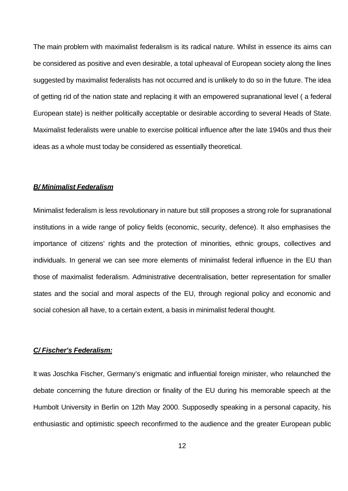The main problem with maximalist federalism is its radical nature. Whilst in essence its aims can be considered as positive and even desirable, a total upheaval of European society along the lines suggested by maximalist federalists has not occurred and is unlikely to do so in the future. The idea of getting rid of the nation state and replacing it with an empowered supranational level ( a federal European state) is neither politically acceptable or desirable according to several Heads of State. Maximalist federalists were unable to exercise political influence after the late 1940s and thus their ideas as a whole must today be considered as essentially theoretical.

#### *B/ Minimalist Federalism*

Minimalist federalism is less revolutionary in nature but still proposes a strong role for supranational institutions in a wide range of policy fields (economic, security, defence). It also emphasises the importance of citizens' rights and the protection of minorities, ethnic groups, collectives and individuals. In general we can see more elements of minimalist federal influence in the EU than those of maximalist federalism. Administrative decentralisation, better representation for smaller states and the social and moral aspects of the EU, through regional policy and economic and social cohesion all have, to a certain extent, a basis in minimalist federal thought.

#### *C/ Fischer's Federalism:*

It was Joschka Fischer, Germany's enigmatic and influential foreign minister, who relaunched the debate concerning the future direction or finality of the EU during his memorable speech at the Humbolt University in Berlin on 12th May 2000. Supposedly speaking in a personal capacity, his enthusiastic and optimistic speech reconfirmed to the audience and the greater European public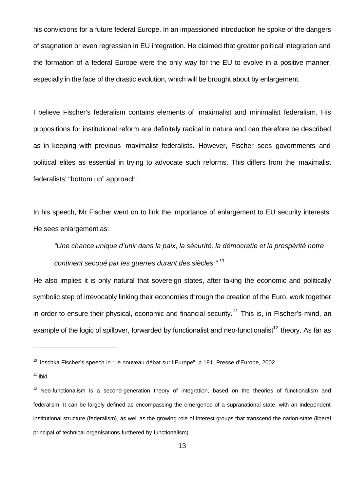his convictions for a future federal Europe. In an impassioned introduction he spoke of the dangers of stagnation or even regression in EU integration. He claimed that greater political integration and the formation of a federal Europe were the only way for the EU to evolve in a positive manner, especially in the face of the drastic evolution, which will be brought about by enlargement.

I believe Fischer's federalism contains elements of maximalist and minimalist federalism. His propositions for institutional reform are definitely radical in nature and can therefore be described as in keeping with previous maximalist federalists. However, Fischer sees governments and political elites as essential in trying to advocate such reforms. This differs from the maximalist federalists' "bottom up" approach.

In his speech, Mr Fischer went on to link the importance of enlargement to EU security interests. He sees enlargement as:

*"Une chance unique d'unir dans la paix, la sécurité, la démocratie et la prospérité notre continent secoué par les guerres durant des siècles." <sup>10</sup>*

He also implies it is only natural that sovereign states, after taking the economic and politically symbolic step of irrevocably linking their economies through the creation of the Euro, work together in order to ensure their physical, economic and financial security.<sup>11</sup> This is, in Fischer's mind, an example of the logic of spillover, forwarded by functionalist and neo-functionalist<sup>12</sup> theory. As far as

<sup>&</sup>lt;sup>10</sup> Joschka Fischer's speech in "Le nouveau débat sur l'Europe", p 181, Presse d'Europe, 2002

 $11$  Ibid

 $12$  Neo-functionalism is a second-generation theory of integration, based on the theories of functionalism and federalism. It can be largely defined as encompassing the emergence of a supranational state, with an independent institutional structure (federalism), as well as the growing role of interest groups that transcend the nation-state (liberal principal of technical organisations furthered by functionalism).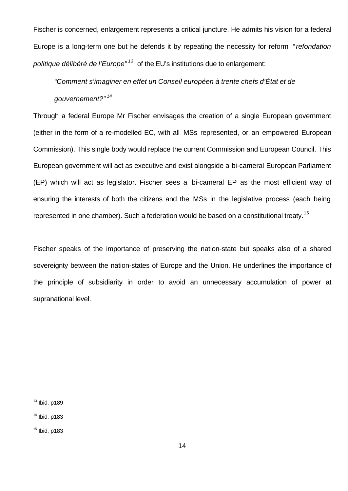Fischer is concerned, enlargement represents a critical juncture. He admits his vision for a federal Europe is a long-term one but he defends it by repeating the necessity for reform *" refondation politique délibéré de l'Europe" <sup>13</sup>* of the EU's institutions due to enlargement:

*"Comment s'imaginer en effet un Conseil européen à trente chefs d'État et de* 

#### *gouvernement?" <sup>14</sup>*

Through a federal Europe Mr Fischer envisages the creation of a single European government (either in the form of a re-modelled EC, with all MSs represented, or an empowered European Commission). This single body would replace the current Commission and European Council. This European government will act as executive and exist alongside a bi-cameral European Parliament (EP) which will act as legislator. Fischer sees a bi-cameral EP as the most efficient way of ensuring the interests of both the citizens and the MSs in the legislative process (each being represented in one chamber). Such a federation would be based on a constitutional treaty.<sup>15</sup>

Fischer speaks of the importance of preserving the nation-state but speaks also of a shared sovereignty between the nation-states of Europe and the Union. He underlines the importance of the principle of subsidiarity in order to avoid an unnecessary accumulation of power at supranational level.

 $13$  Ibid, p189

 $14$  Ibid, p183

 $15$  Ibid, p183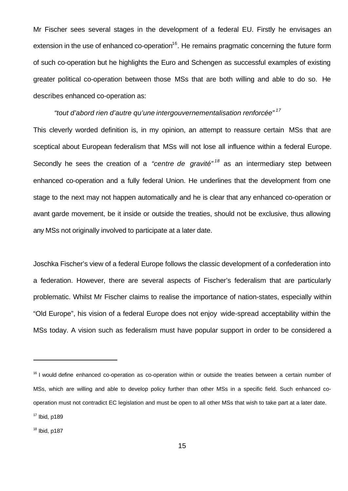Mr Fischer sees several stages in the development of a federal EU. Firstly he envisages an extension in the use of enhanced co-operation<sup>16</sup>. He remains pragmatic concerning the future form of such co-operation but he highlights the Euro and Schengen as successful examples of existing greater political co-operation between those MSs that are both willing and able to do so. He describes enhanced co-operation as:

#### *"tout d'abord rien d'autre qu'une intergouvernementalisation renforcée" <sup>17</sup>*

This cleverly worded definition is, in my opinion, an attempt to reassure certain MSs that are sceptical about European federalism that MSs will not lose all influence within a federal Europe. Secondly he sees the creation of a *"centre de gravité" <sup>18</sup>* as an intermediary step between enhanced co-operation and a fully federal Union. He underlines that the development from one stage to the next may not happen automatically and he is clear that any enhanced co-operation or avant garde movement, be it inside or outside the treaties, should not be exclusive, thus allowing any MSs not originally involved to participate at a later date.

Joschka Fischer's view of a federal Europe follows the classic development of a confederation into a federation. However, there are several aspects of Fischer's federalism that are particularly problematic. Whilst Mr Fischer claims to realise the importance of nation-states, especially within "Old Europe", his vision of a federal Europe does not enjoy wide-spread acceptability within the MSs today. A vision such as federalism must have popular support in order to be considered a

<sup>&</sup>lt;sup>16</sup> I would define enhanced co-operation as co-operation within or outside the treaties between a certain number of MSs, which are willing and able to develop policy further than other MSs in a specific field. Such enhanced cooperation must not contradict EC legislation and must be open to all other MSs that wish to take part at a later date.

 $17$  Ibid, p189

 $18$  Ibid, p187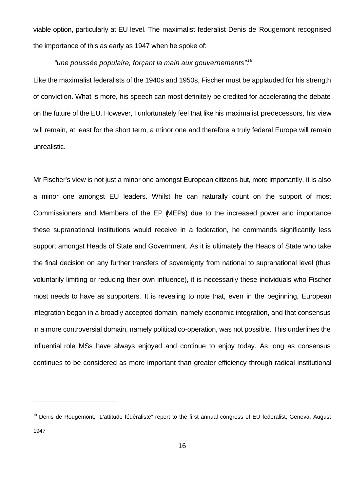viable option, particularly at EU level. The maximalist federalist Denis de Rougemont recognised the importance of this as early as 1947 when he spoke of:

*"une poussée populaire, forçant la main aux gouvernements".<sup>19</sup>*

Like the maximalist federalists of the 1940s and 1950s, Fischer must be applauded for his strength of conviction. What is more, his speech can most definitely be credited for accelerating the debate on the future of the EU. However, I unfortunately feel that like his maximalist predecessors, his view will remain, at least for the short term, a minor one and therefore a truly federal Europe will remain unrealistic.

Mr Fischer's view is not just a minor one amongst European citizens but, more importantly, it is also a minor one amongst EU leaders. Whilst he can naturally count on the support of most Commissioners and Members of the EP (MEPs) due to the increased power and importance these supranational institutions would receive in a federation, he commands significantly less support amongst Heads of State and Government. As it is ultimately the Heads of State who take the final decision on any further transfers of sovereignty from national to supranational level (thus voluntarily limiting or reducing their own influence), it is necessarily these individuals who Fischer most needs to have as supporters. It is revealing to note that, even in the beginning, European integration began in a broadly accepted domain, namely economic integration, and that consensus in a more controversial domain, namely political co-operation, was not possible. This underlines the influential role MSs have always enjoyed and continue to enjoy today. As long as consensus continues to be considered as more important than greater efficiency through radical institutional

<sup>&</sup>lt;sup>19</sup> Denis de Rougemont, "L'attitude fédéraliste" report to the first annual congress of EU federalist, Geneva, August 1947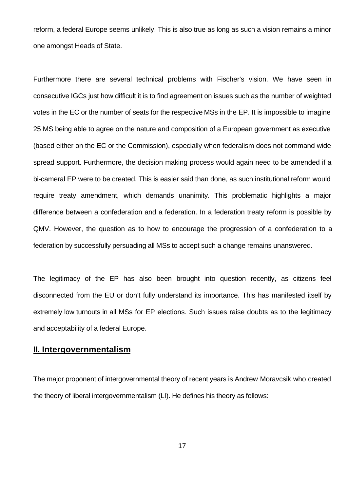reform, a federal Europe seems unlikely. This is also true as long as such a vision remains a minor one amongst Heads of State.

Furthermore there are several technical problems with Fischer's vision. We have seen in consecutive IGCs just how difficult it is to find agreement on issues such as the number of weighted votes in the EC or the number of seats for the respective MSs in the EP. It is impossible to imagine 25 MS being able to agree on the nature and composition of a European government as executive (based either on the EC or the Commission), especially when federalism does not command wide spread support. Furthermore, the decision making process would again need to be amended if a bi-cameral EP were to be created. This is easier said than done, as such institutional reform would require treaty amendment, which demands unanimity. This problematic highlights a major difference between a confederation and a federation. In a federation treaty reform is possible by QMV. However, the question as to how to encourage the progression of a confederation to a federation by successfully persuading all MSs to accept such a change remains unanswered.

The legitimacy of the EP has also been brought into question recently, as citizens feel disconnected from the EU or don't fully understand its importance. This has manifested itself by extremely low turnouts in all MSs for EP elections. Such issues raise doubts as to the legitimacy and acceptability of a federal Europe.

#### **II. Intergovernmentalism**

The major proponent of intergovernmental theory of recent years is Andrew Moravcsik who created the theory of liberal intergovernmentalism (LI). He defines his theory as follows:

17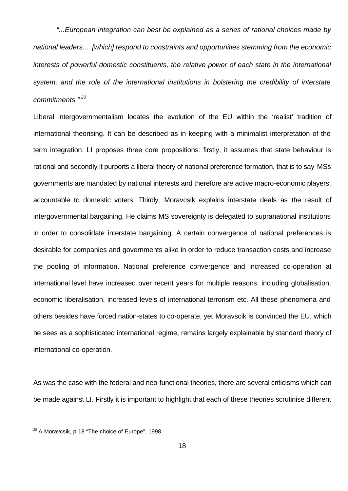*"...European integration can best be explained as a series of rational choices made by national leaders.... [which] respond to constraints and opportunities stemming from the economic interests of powerful domestic constituents, the relative power of each state in the international system, and the role of the international institutions in bolstering the credibility of interstate commitments." <sup>20</sup>*

Liberal intergovernmentalism locates the evolution of the EU within the 'realist' tradition of international theorising. It can be described as in keeping with a minimalist interpretation of the term integration. LI proposes three core propositions: firstly, it assumes that state behaviour is rational and secondly it purports a liberal theory of national preference formation, that is to say MSs governments are mandated by national interests and therefore are active macro-economic players, accountable to domestic voters. Thirdly, Moravcsik explains interstate deals as the result of intergovernmental bargaining. He claims MS sovereignty is delegated to supranational institutions in order to consolidate interstate bargaining. A certain convergence of national preferences is desirable for companies and governments alike in order to reduce transaction costs and increase the pooling of information. National preference convergence and increased co-operation at international level have increased over recent years for multiple reasons, including globalisation, economic liberalisation, increased levels of international terrorism etc. All these phenomena and others besides have forced nation-states to co-operate, yet Moravscik is convinced the EU, which he sees as a sophisticated international regime, remains largely explainable by standard theory of international co-operation.

As was the case with the federal and neo-functional theories, there are several criticisms which can be made against LI. Firstly it is important to highlight that each of these theories scrutinise different

<sup>&</sup>lt;sup>20</sup> A Moravcsik, p 18 "The choice of Europe", 1998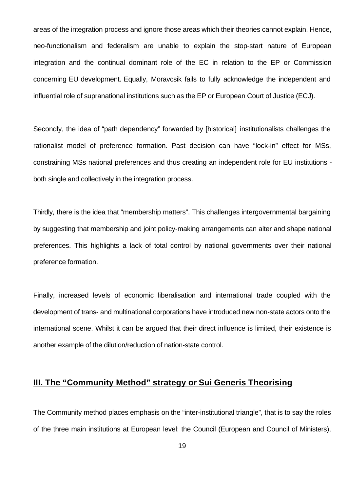areas of the integration process and ignore those areas which their theories cannot explain. Hence, neo-functionalism and federalism are unable to explain the stop-start nature of European integration and the continual dominant role of the EC in relation to the EP or Commission concerning EU development. Equally, Moravcsik fails to fully acknowledge the independent and influential role of supranational institutions such as the EP or European Court of Justice (ECJ).

Secondly, the idea of "path dependency" forwarded by [historical] institutionalists challenges the rationalist model of preference formation. Past decision can have "lock-in" effect for MSs, constraining MSs national preferences and thus creating an independent role for EU institutions both single and collectively in the integration process.

Thirdly, there is the idea that "membership matters". This challenges intergovernmental bargaining by suggesting that membership and joint policy-making arrangements can alter and shape national preferences. This highlights a lack of total control by national governments over their national preference formation.

Finally, increased levels of economic liberalisation and international trade coupled with the development of trans- and multinational corporations have introduced new non-state actors onto the international scene. Whilst it can be argued that their direct influence is limited, their existence is another example of the dilution/reduction of nation-state control.

### **III. The "Community Method" strategy or Sui Generis Theorising**

The Community method places emphasis on the "inter-institutional triangle", that is to say the roles of the three main institutions at European level: the Council (European and Council of Ministers),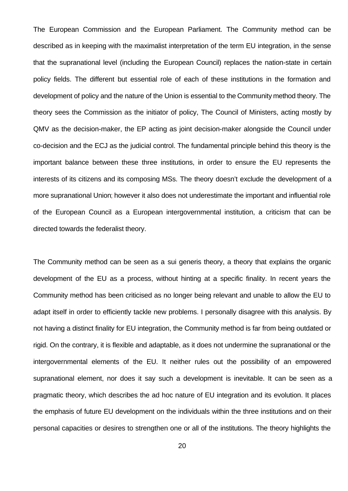The European Commission and the European Parliament. The Community method can be described as in keeping with the maximalist interpretation of the term EU integration, in the sense that the supranational level (including the European Council) replaces the nation-state in certain policy fields. The different but essential role of each of these institutions in the formation and development of policy and the nature of the Union is essential to the Community method theory. The theory sees the Commission as the initiator of policy, The Council of Ministers, acting mostly by QMV as the decision-maker, the EP acting as joint decision-maker alongside the Council under co-decision and the ECJ as the judicial control. The fundamental principle behind this theory is the important balance between these three institutions, in order to ensure the EU represents the interests of its citizens and its composing MSs. The theory doesn't exclude the development of a more supranational Union; however it also does not underestimate the important and influential role of the European Council as a European intergovernmental institution, a criticism that can be directed towards the federalist theory.

The Community method can be seen as a sui generis theory, a theory that explains the organic development of the EU as a process, without hinting at a specific finality. In recent years the Community method has been criticised as no longer being relevant and unable to allow the EU to adapt itself in order to efficiently tackle new problems. I personally disagree with this analysis. By not having a distinct finality for EU integration, the Community method is far from being outdated or rigid. On the contrary, it is flexible and adaptable, as it does not undermine the supranational or the intergovernmental elements of the EU. It neither rules out the possibility of an empowered supranational element, nor does it say such a development is inevitable. It can be seen as a pragmatic theory, which describes the ad hoc nature of EU integration and its evolution. It places the emphasis of future EU development on the individuals within the three institutions and on their personal capacities or desires to strengthen one or all of the institutions. The theory highlights the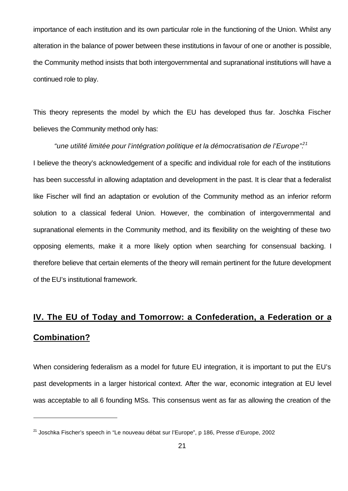importance of each institution and its own particular role in the functioning of the Union. Whilst any alteration in the balance of power between these institutions in favour of one or another is possible, the Community method insists that both intergovernmental and supranational institutions will have a continued role to play.

This theory represents the model by which the EU has developed thus far. Joschka Fischer believes the Community method only has:

*"une utilité limitée pour l'intégration politique et la démocratisation de l'Europe".<sup>21</sup>* I believe the theory's acknowledgement of a specific and individual role for each of the institutions has been successful in allowing adaptation and development in the past. It is clear that a federalist like Fischer will find an adaptation or evolution of the Community method as an inferior reform solution to a classical federal Union. However, the combination of intergovernmental and supranational elements in the Community method, and its flexibility on the weighting of these two opposing elements, make it a more likely option when searching for consensual backing. I therefore believe that certain elements of the theory will remain pertinent for the future development of the EU's institutional framework.

# **IV. The EU of Today and Tomorrow: a Confederation, a Federation or a Combination?**

When considering federalism as a model for future EU integration, it is important to put the EU's past developments in a larger historical context. After the war, economic integration at EU level was acceptable to all 6 founding MSs. This consensus went as far as allowing the creation of the

<sup>&</sup>lt;sup>21</sup> Joschka Fischer's speech in "Le nouveau débat sur l'Europe", p 186, Presse d'Europe, 2002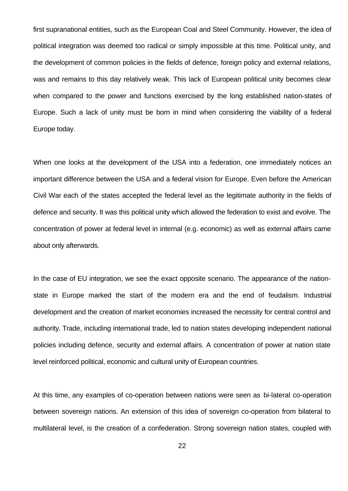first supranational entities, such as the European Coal and Steel Community. However, the idea of political integration was deemed too radical or simply impossible at this time. Political unity, and the development of common policies in the fields of defence, foreign policy and external relations, was and remains to this day relatively weak. This lack of European political unity becomes clear when compared to the power and functions exercised by the long established nation-states of Europe. Such a lack of unity must be born in mind when considering the viability of a federal Europe today.

When one looks at the development of the USA into a federation, one immediately notices an important difference between the USA and a federal vision for Europe. Even before the American Civil War each of the states accepted the federal level as the legitimate authority in the fields of defence and security. It was this political unity which allowed the federation to exist and evolve. The concentration of power at federal level in internal (e.g. economic) as well as external affairs came about only afterwards.

In the case of EU integration, we see the exact opposite scenario. The appearance of the nationstate in Europe marked the start of the modern era and the end of feudalism. Industrial development and the creation of market economies increased the necessity for central control and authority. Trade, including international trade, led to nation states developing independent national policies including defence, security and external affairs. A concentration of power at nation state level reinforced political, economic and cultural unity of European countries.

At this time, any examples of co-operation between nations were seen as bi-lateral co-operation between sovereign nations. An extension of this idea of sovereign co-operation from bilateral to multilateral level, is the creation of a confederation. Strong sovereign nation states, coupled with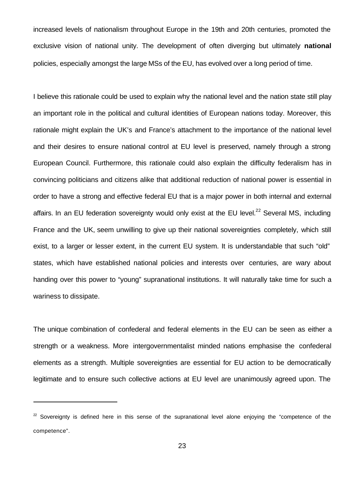increased levels of nationalism throughout Europe in the 19th and 20th centuries, promoted the exclusive vision of national unity. The development of often diverging but ultimately **national** policies, especially amongst the large MSs of the EU, has evolved over a long period of time.

I believe this rationale could be used to explain why the national level and the nation state still play an important role in the political and cultural identities of European nations today. Moreover, this rationale might explain the UK's and France's attachment to the importance of the national level and their desires to ensure national control at EU level is preserved, namely through a strong European Council. Furthermore, this rationale could also explain the difficulty federalism has in convincing politicians and citizens alike that additional reduction of national power is essential in order to have a strong and effective federal EU that is a major power in both internal and external affairs. In an EU federation sovereignty would only exist at the EU level. $^{22}$  Several MS, including France and the UK, seem unwilling to give up their national sovereignties completely, which still exist, to a larger or lesser extent, in the current EU system. It is understandable that such "old" states, which have established national policies and interests over centuries, are wary about handing over this power to "young" supranational institutions. It will naturally take time for such a wariness to dissipate.

The unique combination of confederal and federal elements in the EU can be seen as either a strength or a weakness. More intergovernmentalist minded nations emphasise the confederal elements as a strength. Multiple sovereignties are essential for EU action to be democratically legitimate and to ensure such collective actions at EU level are unanimously agreed upon. The

 $22$  Sovereignty is defined here in this sense of the supranational level alone enjoying the "competence of the competence".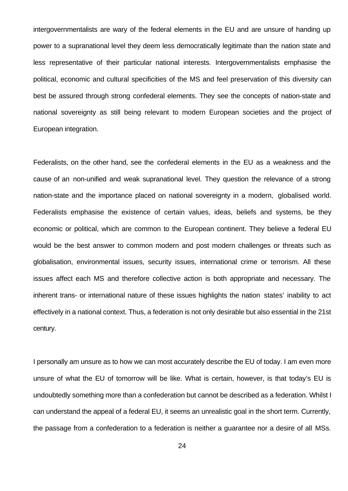intergovernmentalists are wary of the federal elements in the EU and are unsure of handing up power to a supranational level they deem less democratically legitimate than the nation state and less representative of their particular national interests. Intergovernmentalists emphasise the political, economic and cultural specificities of the MS and feel preservation of this diversity can best be assured through strong confederal elements. They see the concepts of nation-state and national sovereignty as still being relevant to modern European societies and the project of European integration.

Federalists, on the other hand, see the confederal elements in the EU as a weakness and the cause of an non-unified and weak supranational level. They question the relevance of a strong nation-state and the importance placed on national sovereignty in a modern, globalised world. Federalists emphasise the existence of certain values, ideas, beliefs and systems, be they economic or political, which are common to the European continent. They believe a federal EU would be the best answer to common modern and post modern challenges or threats such as globalisation, environmental issues, security issues, international crime or terrorism. All these issues affect each MS and therefore collective action is both appropriate and necessary. The inherent trans- or international nature of these issues highlights the nation states' inability to act effectively in a national context. Thus, a federation is not only desirable but also essential in the 21st century.

I personally am unsure as to how we can most accurately describe the EU of today. I am even more unsure of what the EU of tomorrow will be like. What is certain, however, is that today's EU is undoubtedly something more than a confederation but cannot be described as a federation. Whilst I can understand the appeal of a federal EU, it seems an unrealistic goal in the short term. Currently, the passage from a confederation to a federation is neither a guarantee nor a desire of all MSs.

24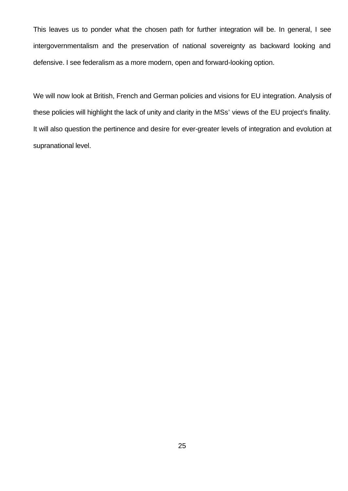This leaves us to ponder what the chosen path for further integration will be. In general, I see intergovernmentalism and the preservation of national sovereignty as backward looking and defensive. I see federalism as a more modern, open and forward-looking option.

We will now look at British, French and German policies and visions for EU integration. Analysis of these policies will highlight the lack of unity and clarity in the MSs' views of the EU project's finality. It will also question the pertinence and desire for ever-greater levels of integration and evolution at supranational level.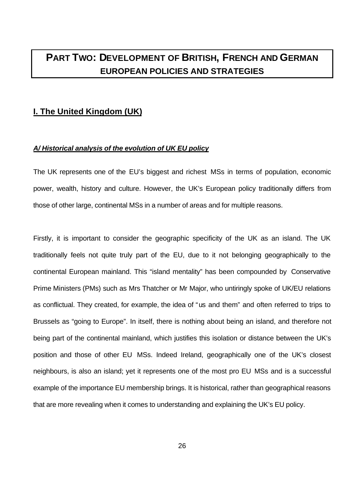# **PART TWO: DEVELOPMENT OF BRITISH, FRENCH AND GERMAN EUROPEAN POLICIES AND STRATEGIES**

### **I. The United Kingdom (UK)**

#### *A/ Historical analysis of the evolution of UK EU policy*

The UK represents one of the EU's biggest and richest MSs in terms of population, economic power, wealth, history and culture. However, the UK's European policy traditionally differs from those of other large, continental MSs in a number of areas and for multiple reasons.

Firstly, it is important to consider the geographic specificity of the UK as an island. The UK traditionally feels not quite truly part of the EU, due to it not belonging geographically to the continental European mainland. This "island mentality" has been compounded by Conservative Prime Ministers (PMs) such as Mrs Thatcher or Mr Major, who untiringly spoke of UK/EU relations as conflictual. They created, for example, the idea of "us and them" and often referred to trips to Brussels as "going to Europe". In itself, there is nothing about being an island, and therefore not being part of the continental mainland, which justifies this isolation or distance between the UK's position and those of other EU MSs. Indeed Ireland, geographically one of the UK's closest neighbours, is also an island; yet it represents one of the most pro EU MSs and is a successful example of the importance EU membership brings. It is historical, rather than geographical reasons that are more revealing when it comes to understanding and explaining the UK's EU policy.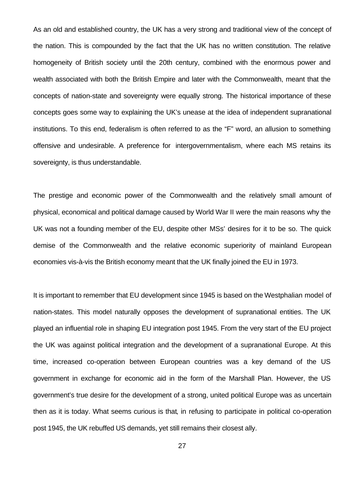As an old and established country, the UK has a very strong and traditional view of the concept of the nation. This is compounded by the fact that the UK has no written constitution. The relative homogeneity of British society until the 20th century, combined with the enormous power and wealth associated with both the British Empire and later with the Commonwealth, meant that the concepts of nation-state and sovereignty were equally strong. The historical importance of these concepts goes some way to explaining the UK's unease at the idea of independent supranational institutions. To this end, federalism is often referred to as the "F" word, an allusion to something offensive and undesirable. A preference for intergovernmentalism, where each MS retains its sovereignty, is thus understandable.

The prestige and economic power of the Commonwealth and the relatively small amount of physical, economical and political damage caused by World War II were the main reasons why the UK was not a founding member of the EU, despite other MSs' desires for it to be so. The quick demise of the Commonwealth and the relative economic superiority of mainland European economies vis-à-vis the British economy meant that the UK finally joined the EU in 1973.

It is important to remember that EU development since 1945 is based on the Westphalian model of nation-states. This model naturally opposes the development of supranational entities. The UK played an influential role in shaping EU integration post 1945. From the very start of the EU project the UK was against political integration and the development of a supranational Europe. At this time, increased co-operation between European countries was a key demand of the US government in exchange for economic aid in the form of the Marshall Plan. However, the US government's true desire for the development of a strong, united political Europe was as uncertain then as it is today. What seems curious is that, in refusing to participate in political co-operation post 1945, the UK rebuffed US demands, yet still remains their closest ally.

27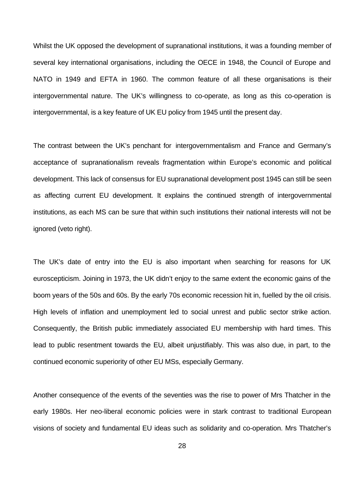Whilst the UK opposed the development of supranational institutions, it was a founding member of several key international organisations, including the OECE in 1948, the Council of Europe and NATO in 1949 and EFTA in 1960. The common feature of all these organisations is their intergovernmental nature. The UK's willingness to co-operate, as long as this co-operation is intergovernmental, is a key feature of UK EU policy from 1945 until the present day.

The contrast between the UK's penchant for intergovernmentalism and France and Germany's acceptance of supranationalism reveals fragmentation within Europe's economic and political development. This lack of consensus for EU supranational development post 1945 can still be seen as affecting current EU development. It explains the continued strength of intergovernmental institutions, as each MS can be sure that within such institutions their national interests will not be ignored (veto right).

The UK's date of entry into the EU is also important when searching for reasons for UK euroscepticism. Joining in 1973, the UK didn't enjoy to the same extent the economic gains of the boom years of the 50s and 60s. By the early 70s economic recession hit in, fuelled by the oil crisis. High levels of inflation and unemployment led to social unrest and public sector strike action. Consequently, the British public immediately associated EU membership with hard times. This lead to public resentment towards the EU, albeit unjustifiably. This was also due, in part, to the continued economic superiority of other EU MSs, especially Germany.

Another consequence of the events of the seventies was the rise to power of Mrs Thatcher in the early 1980s. Her neo-liberal economic policies were in stark contrast to traditional European visions of society and fundamental EU ideas such as solidarity and co-operation. Mrs Thatcher's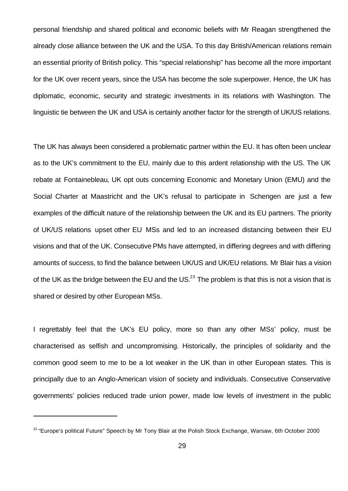personal friendship and shared political and economic beliefs with Mr Reagan strengthened the already close alliance between the UK and the USA. To this day British/American relations remain an essential priority of British policy. This "special relationship" has become all the more important for the UK over recent years, since the USA has become the sole superpower. Hence, the UK has diplomatic, economic, security and strategic investments in its relations with Washington. The linguistic tie between the UK and USA is certainly another factor for the strength of UK/US relations.

The UK has always been considered a problematic partner within the EU. It has often been unclear as to the UK's commitment to the EU, mainly due to this ardent relationship with the US. The UK rebate at Fontainebleau, UK opt outs concerning Economic and Monetary Union (EMU) and the Social Charter at Maastricht and the UK's refusal to participate in Schengen are just a few examples of the difficult nature of the relationship between the UK and its EU partners. The priority of UK/US relations upset other EU MSs and led to an increased distancing between their EU visions and that of the UK. Consecutive PMs have attempted, in differing degrees and with differing amounts of success, to find the balance between UK/US and UK/EU relations. Mr Blair has a vision of the UK as the bridge between the EU and the US. $^{23}$  The problem is that this is not a vision that is shared or desired by other European MSs.

I regrettably feel that the UK's EU policy, more so than any other MSs' policy, must be characterised as selfish and uncompromising. Historically, the principles of solidarity and the common good seem to me to be a lot weaker in the UK than in other European states. This is principally due to an Anglo-American vision of society and individuals. Consecutive Conservative governments' policies reduced trade union power, made low levels of investment in the public

 $^{23}$  "Europe's political Future" Speech by Mr Tony Blair at the Polish Stock Exchange, Warsaw, 6th October 2000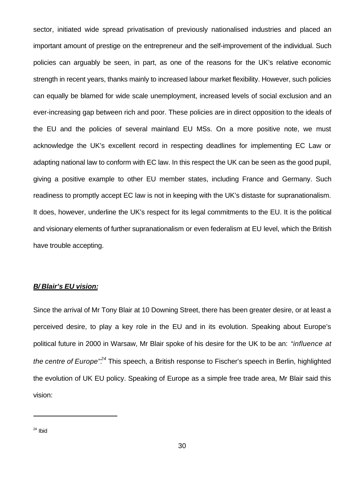sector, initiated wide spread privatisation of previously nationalised industries and placed an important amount of prestige on the entrepreneur and the self-improvement of the individual. Such policies can arguably be seen, in part, as one of the reasons for the UK's relative economic strength in recent years, thanks mainly to increased labour market flexibility. However, such policies can equally be blamed for wide scale unemployment, increased levels of social exclusion and an ever-increasing gap between rich and poor. These policies are in direct opposition to the ideals of the EU and the policies of several mainland EU MSs. On a more positive note, we must acknowledge the UK's excellent record in respecting deadlines for implementing EC Law or adapting national law to conform with EC law. In this respect the UK can be seen as the good pupil, giving a positive example to other EU member states, including France and Germany. Such readiness to promptly accept EC law is not in keeping with the UK's distaste for supranationalism. It does, however, underline the UK's respect for its legal commitments to the EU. It is the political and visionary elements of further supranationalism or even federalism at EU level, which the British have trouble accepting.

#### *B/ Blair's EU vision:*

Since the arrival of Mr Tony Blair at 10 Downing Street, there has been greater desire, or at least a perceived desire, to play a key role in the EU and in its evolution. Speaking about Europe's political future in 2000 in Warsaw, Mr Blair spoke of his desire for the UK to be an: *"influence at the centre of Europe".<sup>24</sup>* This speech, a British response to Fischer's speech in Berlin, highlighted the evolution of UK EU policy. Speaking of Europe as a simple free trade area, Mr Blair said this vision:

 $24$  Ibid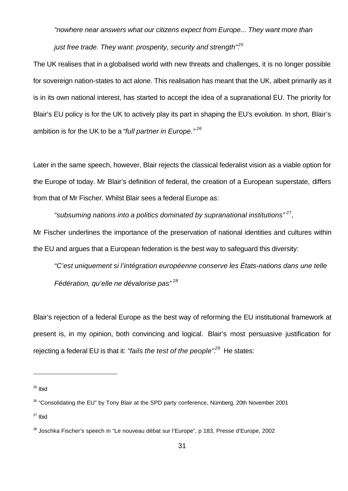*"nowhere near answers what our citizens expect from Europe... They want more than* 

*just free trade. They want: prosperity, security and strength*<sup>25</sup>

The UK realises that in a globalised world with new threats and challenges, it is no longer possible for sovereign nation-states to act alone. This realisation has meant that the UK, albeit primarily as it is in its own national interest, has started to accept the idea of a supranational EU. The priority for Blair's EU policy is for the UK to actively play its part in shaping the EU's evolution. In short, Blair's ambition is for the UK to be a *"full partner in Europe." <sup>26</sup>*

Later in the same speech, however, Blair rejects the classical federalist vision as a viable option for the Europe of today. Mr Blair's definition of federal, the creation of a European superstate, differs from that of Mr Fischer. Whilst Blair sees a federal Europe as:

*"subsuming nations into a politics dominated by supranational institutions" <sup>27</sup> ,* Mr Fischer underlines the importance of the preservation of national identities and cultures within the EU and argues that a European federation is the best way to safeguard this diversity:

*"C'est uniquement si l'intégration européenne conserve les États-nations dans une telle Fédération, qu'elle ne dévalorise pas" <sup>28</sup>*

Blair's rejection of a federal Europe as the best way of reforming the EU institutional framework at present is, in my opinion, both convincing and logical. Blair's most persuasive justification for rejecting a federal EU is that it: *"fails the test of the people".<sup>29</sup>* He states:

 $25$  Ibid

<sup>&</sup>lt;sup>26</sup> "Consolidating the EU" by Tony Blair at the SPD party conference, Nürnberg, 20th November 2001

 $27$  Ibid

<sup>&</sup>lt;sup>28</sup> Joschka Fischer's speech in "Le nouveau débat sur l'Europe", p 183, Presse d'Europe, 2002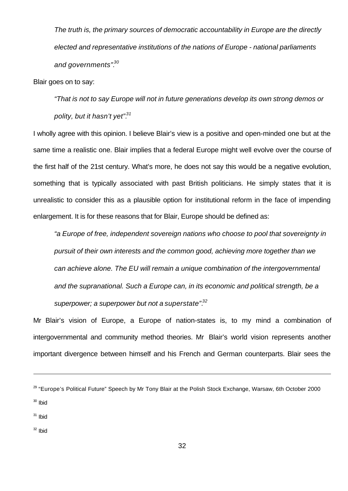*The truth is, the primary sources of democratic accountability in Europe are the directly elected and representative institutions of the nations of Europe - national parliaments and governments".<sup>30</sup>*

Blair goes on to say:

*"That is not to say Europe will not in future generations develop its own strong demos or polity, but it hasn't yet".<sup>31</sup>*

I wholly agree with this opinion. I believe Blair's view is a positive and open-minded one but at the same time a realistic one. Blair implies that a federal Europe might well evolve over the course of the first half of the 21st century. What's more, he does not say this would be a negative evolution, something that is typically associated with past British politicians. He simply states that it is unrealistic to consider this as a plausible option for institutional reform in the face of impending enlargement. It is for these reasons that for Blair, Europe should be defined as:

*"a Europe of free, independent sovereign nations who choose to pool that sovereignty in pursuit of their own interests and the common good, achieving more together than we can achieve alone. The EU will remain a unique combination of the intergovernmental and the supranational. Such a Europe can, in its economic and political strength, be a superpower; a superpower but not a superstate".<sup>32</sup>*

Mr Blair's vision of Europe, a Europe of nation-states is, to my mind a combination of intergovernmental and community method theories. Mr Blair's world vision represents another important divergence between himself and his French and German counterparts. Blair sees the

 $31$  Ibid

j

 $32$  Ibid

<sup>&</sup>lt;sup>29</sup> "Europe's Political Future" Speech by Mr Tony Blair at the Polish Stock Exchange, Warsaw, 6th October 2000  $30$  Ibid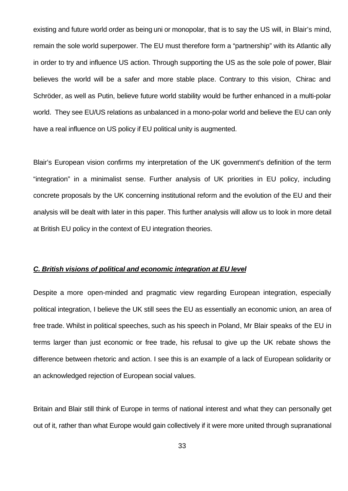existing and future world order as being uni or monopolar, that is to say the US will, in Blair's mind, remain the sole world superpower. The EU must therefore form a "partnership" with its Atlantic ally in order to try and influence US action. Through supporting the US as the sole pole of power, Blair believes the world will be a safer and more stable place. Contrary to this vision, Chirac and Schröder, as well as Putin, believe future world stability would be further enhanced in a multi-polar world. They see EU/US relations as unbalanced in a mono-polar world and believe the EU can only have a real influence on US policy if EU political unity is augmented.

Blair's European vision confirms my interpretation of the UK government's definition of the term "integration" in a minimalist sense. Further analysis of UK priorities in EU policy, including concrete proposals by the UK concerning institutional reform and the evolution of the EU and their analysis will be dealt with later in this paper. This further analysis will allow us to look in more detail at British EU policy in the context of EU integration theories.

#### *C. British visions of political and economic integration at EU level*

Despite a more open-minded and pragmatic view regarding European integration, especially political integration, I believe the UK still sees the EU as essentially an economic union, an area of free trade. Whilst in political speeches, such as his speech in Poland, Mr Blair speaks of the EU in terms larger than just economic or free trade, his refusal to give up the UK rebate shows the difference between rhetoric and action. I see this is an example of a lack of European solidarity or an acknowledged rejection of European social values.

Britain and Blair still think of Europe in terms of national interest and what they can personally get out of it, rather than what Europe would gain collectively if it were more united through supranational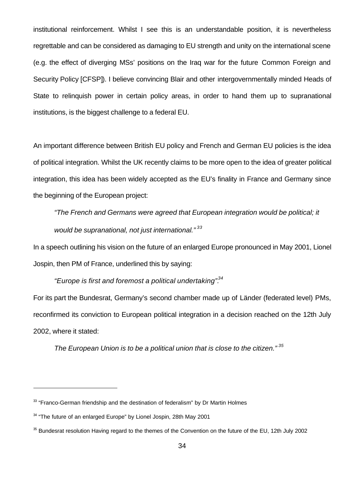institutional reinforcement. Whilst I see this is an understandable position, it is nevertheless regrettable and can be considered as damaging to EU strength and unity on the international scene (e.g. the effect of diverging MSs' positions on the Iraq war for the future Common Foreign and Security Policy [CFSP]). I believe convincing Blair and other intergovernmentally minded Heads of State to relinquish power in certain policy areas, in order to hand them up to supranational institutions, is the biggest challenge to a federal EU.

An important difference between British EU policy and French and German EU policies is the idea of political integration. Whilst the UK recently claims to be more open to the idea of greater political integration, this idea has been widely accepted as the EU's finality in France and Germany since the beginning of the European project:

*"The French and Germans were agreed that European integration would be political; it would be supranational, not just international." <sup>33</sup>*

In a speech outlining his vision on the future of an enlarged Europe pronounced in May 2001, Lionel Jospin, then PM of France, underlined this by saying:

*"Europe is first and foremost a political undertaking".<sup>34</sup>*

For its part the Bundesrat, Germany's second chamber made up of Länder (federated level) PMs, reconfirmed its conviction to European political integration in a decision reached on the 12th July 2002, where it stated:

*The European Union is to be a political union that is close to the citizen." <sup>35</sup>*

 $33$  "Franco-German friendship and the destination of federalism" by Dr Martin Holmes

 $34$  "The future of an enlarged Europe" by Lionel Jospin, 28th May 2001

 $35$  Bundesrat resolution Having regard to the themes of the Convention on the future of the EU, 12th July 2002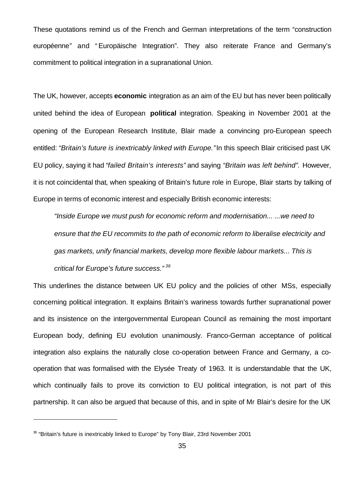These quotations remind us of the French and German interpretations of the term "construction européenne" and " Europäische Integration". They also reiterate France and Germany's commitment to political integration in a supranational Union.

The UK, however, accepts **economic** integration as an aim of the EU but has never been politically united behind the idea of European **political** integration. Speaking in November 2001 at the opening of the European Research Institute, Blair made a convincing pro-European speech entitled: "Britain's future is inextricably linked with Europe." In this speech Blair criticised past UK EU policy, saying it had *"failed Britain's interests"* and saying *"Britain was left behind".* However, it is not coincidental that, when speaking of Britain's future role in Europe, Blair starts by talking of Europe in terms of economic interest and especially British economic interests:

*"Inside Europe we must push for economic reform and modernisation... ...we need to ensure that the EU recommits to the path of economic reform to liberalise electricity and gas markets, unify financial markets, develop more flexible labour markets... This is critical for Europe's future success." <sup>36</sup>*

This underlines the distance between UK EU policy and the policies of other MSs, especially concerning political integration. It explains Britain's wariness towards further supranational power and its insistence on the intergovernmental European Council as remaining the most important European body, defining EU evolution unanimously. Franco-German acceptance of political integration also explains the naturally close co-operation between France and Germany, a cooperation that was formalised with the Elysée Treaty of 1963. It is understandable that the UK, which continually fails to prove its conviction to EU political integration, is not part of this partnership. It can also be argued that because of this, and in spite of Mr Blair's desire for the UK

<sup>36</sup> "Britain's future is inextricably linked to Europe" by Tony Blair, 23rd November 2001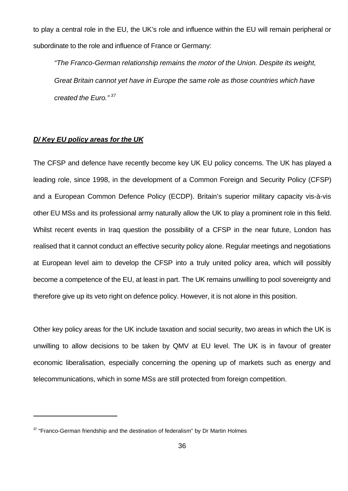to play a central role in the EU, the UK's role and influence within the EU will remain peripheral or subordinate to the role and influence of France or Germany:

*"The Franco-German relationship remains the motor of the Union. Despite its weight, Great Britain cannot yet have in Europe the same role as those countries which have created the Euro." <sup>37</sup>*

#### *D/ Key EU policy areas for the UK*

The CFSP and defence have recently become key UK EU policy concerns. The UK has played a leading role, since 1998, in the development of a Common Foreign and Security Policy (CFSP) and a European Common Defence Policy (ECDP). Britain's superior military capacity vis-à-vis other EU MSs and its professional army naturally allow the UK to play a prominent role in this field. Whilst recent events in Iraq question the possibility of a CFSP in the near future, London has realised that it cannot conduct an effective security policy alone. Regular meetings and negotiations at European level aim to develop the CFSP into a truly united policy area, which will possibly become a competence of the EU, at least in part. The UK remains unwilling to pool sovereignty and therefore give up its veto right on defence policy. However, it is not alone in this position.

Other key policy areas for the UK include taxation and social security, two areas in which the UK is unwilling to allow decisions to be taken by QMV at EU level. The UK is in favour of greater economic liberalisation, especially concerning the opening up of markets such as energy and telecommunications, which in some MSs are still protected from foreign competition.

 $37$  "Franco-German friendship and the destination of federalism" by Dr Martin Holmes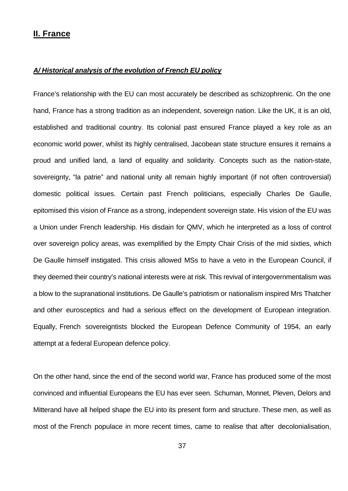#### **II. France**

#### *A/ Historical analysis of the evolution of French EU policy*

France's relationship with the EU can most accurately be described as schizophrenic. On the one hand, France has a strong tradition as an independent, sovereign nation. Like the UK, it is an old, established and traditional country. Its colonial past ensured France played a key role as an economic world power, whilst its highly centralised, Jacobean state structure ensures it remains a proud and unified land, a land of equality and solidarity. Concepts such as the nation-state, sovereignty, "la patrie" and national unity all remain highly important (if not often controversial) domestic political issues. Certain past French politicians, especially Charles De Gaulle, epitomised this vision of France as a strong, independent sovereign state. His vision of the EU was a Union under French leadership. His disdain for QMV, which he interpreted as a loss of control over sovereign policy areas, was exemplified by the Empty Chair Crisis of the mid sixties, which De Gaulle himself instigated. This crisis allowed MSs to have a veto in the European Council, if they deemed their country's national interests were at risk. This revival of intergovernmentalism was a blow to the supranational institutions. De Gaulle's patriotism or nationalism inspired Mrs Thatcher and other eurosceptics and had a serious effect on the development of European integration. Equally, French sovereigntists blocked the European Defence Community of 1954, an early attempt at a federal European defence policy.

On the other hand, since the end of the second world war, France has produced some of the most convinced and influential Europeans the EU has ever seen. Schuman, Monnet, Pleven, Delors and Mitterand have all helped shape the EU into its present form and structure. These men, as well as most of the French populace in more recent times, came to realise that after decolonialisation,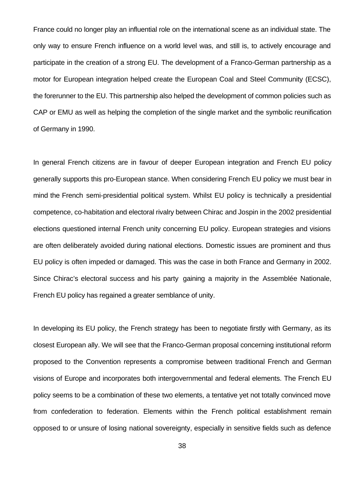France could no longer play an influential role on the international scene as an individual state. The only way to ensure French influence on a world level was, and still is, to actively encourage and participate in the creation of a strong EU. The development of a Franco-German partnership as a motor for European integration helped create the European Coal and Steel Community (ECSC), the forerunner to the EU. This partnership also helped the development of common policies such as CAP or EMU as well as helping the completion of the single market and the symbolic reunification of Germany in 1990.

In general French citizens are in favour of deeper European integration and French EU policy generally supports this pro-European stance. When considering French EU policy we must bear in mind the French semi-presidential political system. Whilst EU policy is technically a presidential competence, co-habitation and electoral rivalry between Chirac and Jospin in the 2002 presidential elections questioned internal French unity concerning EU policy. European strategies and visions are often deliberately avoided during national elections. Domestic issues are prominent and thus EU policy is often impeded or damaged. This was the case in both France and Germany in 2002. Since Chirac's electoral success and his party gaining a majority in the Assemblée Nationale, French EU policy has regained a greater semblance of unity.

In developing its EU policy, the French strategy has been to negotiate firstly with Germany, as its closest European ally. We will see that the Franco-German proposal concerning institutional reform proposed to the Convention represents a compromise between traditional French and German visions of Europe and incorporates both intergovernmental and federal elements. The French EU policy seems to be a combination of these two elements, a tentative yet not totally convinced move from confederation to federation. Elements within the French political establishment remain opposed to or unsure of losing national sovereignty, especially in sensitive fields such as defence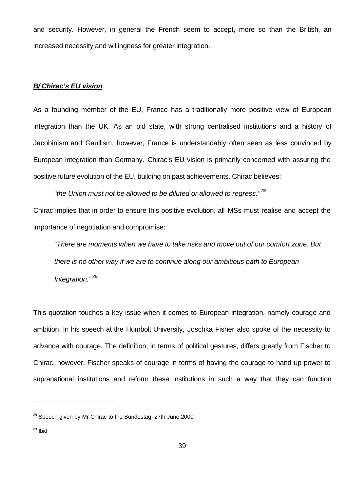and security. However, in general the French seem to accept, more so than the British, an increased necessity and willingness for greater integration.

#### *B/ Chirac's EU vision*

As a founding member of the EU, France has a traditionally more positive view of European integration than the UK. As an old state, with strong centralised institutions and a history of Jacobinism and Gaullism, however, France is understandably often seen as less convinced by European integration than Germany. Chirac's EU vision is primarily concerned with assuring the positive future evolution of the EU, building on past achievements. Chirac believes:

*"the Union must not be allowed to be diluted or allowed to regress." <sup>38</sup>* Chirac implies that in order to ensure this positive evolution, all MSs must realise and accept the importance of negotiation and compromise:

*"There are moments when we have to take risks and move out of our comfort zone. But there is no other way if we are to continue along our ambitious path to European Integration." <sup>39</sup>*

This quotation touches a key issue when it comes to European integration, namely courage and ambition. In his speech at the Humbolt University, Joschka Fisher also spoke of the necessity to advance with courage. The definition, in terms of political gestures, differs greatly from Fischer to Chirac, however. Fischer speaks of courage in terms of having the courage to hand up power to supranational institutions and reform these institutions in such a way that they can function

 $38$  Speech given by Mr Chirac to the Bundestag, 27th June 2000

<sup>39</sup> Ibid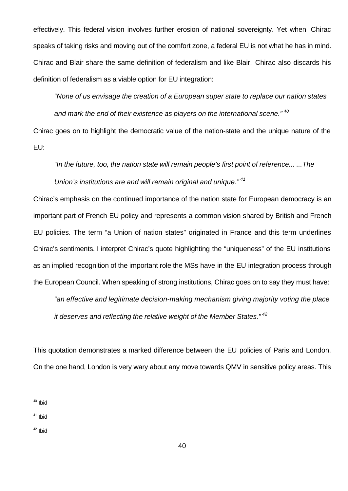effectively. This federal vision involves further erosion of national sovereignty. Yet when Chirac speaks of taking risks and moving out of the comfort zone, a federal EU is not what he has in mind. Chirac and Blair share the same definition of federalism and like Blair, Chirac also discards his definition of federalism as a viable option for EU integration:

*"None of us envisage the creation of a European super state to replace our nation states and mark the end of their existence as players on the international scene." <sup>40</sup>*

Chirac goes on to highlight the democratic value of the nation-state and the unique nature of the EU:

*"In the future, too, the nation state will remain people's first point of reference... ...The Union's institutions are and will remain original and unique." <sup>41</sup>*

Chirac's emphasis on the continued importance of the nation state for European democracy is an important part of French EU policy and represents a common vision shared by British and French EU policies. The term "a Union of nation states" originated in France and this term underlines Chirac's sentiments. I interpret Chirac's quote highlighting the "uniqueness" of the EU institutions as an implied recognition of the important role the MSs have in the EU integration process through the European Council. When speaking of strong institutions, Chirac goes on to say they must have:

*"an effective and legitimate decision-making mechanism giving majority voting the place it deserves and reflecting the relative weight of the Member States." <sup>42</sup>*

This quotation demonstrates a marked difference between the EU policies of Paris and London. On the one hand, London is very wary about any move towards QMV in sensitive policy areas. This

- $41$  Ibid
- <sup>42</sup> Ibid

<sup>40</sup> Ibid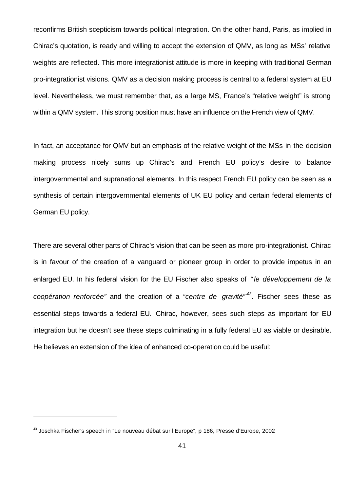reconfirms British scepticism towards political integration. On the other hand, Paris, as implied in Chirac's quotation, is ready and willing to accept the extension of QMV, as long as MSs' relative weights are reflected. This more integrationist attitude is more in keeping with traditional German pro-integrationist visions. QMV as a decision making process is central to a federal system at EU level. Nevertheless, we must remember that, as a large MS, France's "relative weight" is strong within a QMV system. This strong position must have an influence on the French view of QMV.

In fact, an acceptance for QMV but an emphasis of the relative weight of the MSs in the decision making process nicely sums up Chirac's and French EU policy's desire to balance intergovernmental and supranational elements. In this respect French EU policy can be seen as a synthesis of certain intergovernmental elements of UK EU policy and certain federal elements of German EU policy.

There are several other parts of Chirac's vision that can be seen as more pro-integrationist. Chirac is in favour of the creation of a vanguard or pioneer group in order to provide impetus in an enlarged EU. In his federal vision for the EU Fischer also speaks of *" le développement de la coopération renforcée"* and the creation of a *"centre de gravité" <sup>43</sup> .* Fischer sees these as essential steps towards a federal EU. Chirac, however, sees such steps as important for EU integration but he doesn't see these steps culminating in a fully federal EU as viable or desirable. He believes an extension of the idea of enhanced co-operation could be useful:

 $43$  Joschka Fischer's speech in "Le nouveau débat sur l'Europe", p 186, Presse d'Europe, 2002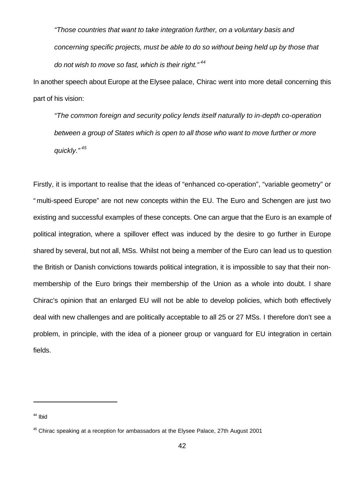*"Those countries that want to take integration further, on a voluntary basis and concerning specific projects, must be able to do so without being held up by those that do not wish to move so fast, which is their right." <sup>44</sup>*

In another speech about Europe at the Elysee palace, Chirac went into more detail concerning this part of his vision:

*"The common foreign and security policy lends itself naturally to in-depth co-operation between a group of States which is open to all those who want to move further or more quickly." <sup>45</sup>*

Firstly, it is important to realise that the ideas of "enhanced co-operation", "variable geometry" or " multi-speed Europe" are not new concepts within the EU. The Euro and Schengen are just two existing and successful examples of these concepts. One can argue that the Euro is an example of political integration, where a spillover effect was induced by the desire to go further in Europe shared by several, but not all, MSs. Whilst not being a member of the Euro can lead us to question the British or Danish convictions towards political integration, it is impossible to say that their nonmembership of the Euro brings their membership of the Union as a whole into doubt. I share Chirac's opinion that an enlarged EU will not be able to develop policies, which both effectively deal with new challenges and are politically acceptable to all 25 or 27 MSs. I therefore don't see a problem, in principle, with the idea of a pioneer group or vanguard for EU integration in certain fields.

<sup>44</sup> Ibid

 $45$  Chirac speaking at a reception for ambassadors at the Elysee Palace, 27th August 2001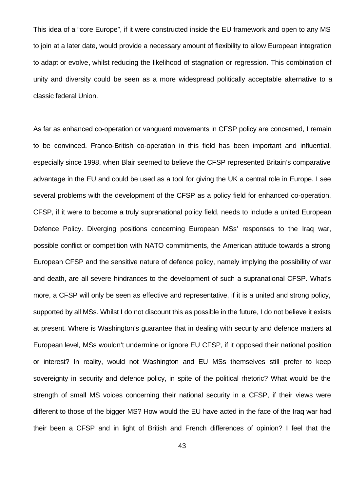This idea of a "core Europe", if it were constructed inside the EU framework and open to any MS to join at a later date, would provide a necessary amount of flexibility to allow European integration to adapt or evolve, whilst reducing the likelihood of stagnation or regression. This combination of unity and diversity could be seen as a more widespread politically acceptable alternative to a classic federal Union.

As far as enhanced co-operation or vanguard movements in CFSP policy are concerned, I remain to be convinced. Franco-British co-operation in this field has been important and influential, especially since 1998, when Blair seemed to believe the CFSP represented Britain's comparative advantage in the EU and could be used as a tool for giving the UK a central role in Europe. I see several problems with the development of the CFSP as a policy field for enhanced co-operation. CFSP, if it were to become a truly supranational policy field, needs to include a united European Defence Policy. Diverging positions concerning European MSs' responses to the Iraq war, possible conflict or competition with NATO commitments, the American attitude towards a strong European CFSP and the sensitive nature of defence policy, namely implying the possibility of war and death, are all severe hindrances to the development of such a supranational CFSP. What's more, a CFSP will only be seen as effective and representative, if it is a united and strong policy, supported by all MSs. Whilst I do not discount this as possible in the future, I do not believe it exists at present. Where is Washington's guarantee that in dealing with security and defence matters at European level, MSs wouldn't undermine or ignore EU CFSP, if it opposed their national position or interest? In reality, would not Washington and EU MSs themselves still prefer to keep sovereignty in security and defence policy, in spite of the political rhetoric? What would be the strength of small MS voices concerning their national security in a CFSP, if their views were different to those of the bigger MS? How would the EU have acted in the face of the Iraq war had their been a CFSP and in light of British and French differences of opinion? I feel that the

43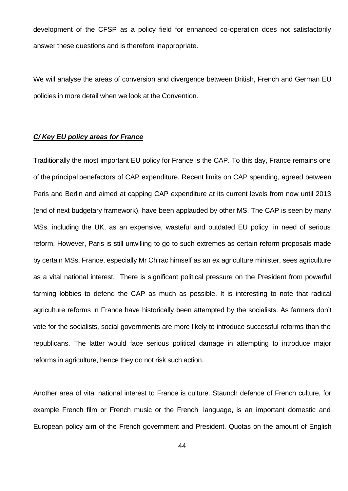development of the CFSP as a policy field for enhanced co-operation does not satisfactorily answer these questions and is therefore inappropriate.

We will analyse the areas of conversion and divergence between British, French and German EU policies in more detail when we look at the Convention.

#### *C/ Key EU policy areas for France*

Traditionally the most important EU policy for France is the CAP. To this day, France remains one of the principal benefactors of CAP expenditure. Recent limits on CAP spending, agreed between Paris and Berlin and aimed at capping CAP expenditure at its current levels from now until 2013 (end of next budgetary framework), have been applauded by other MS. The CAP is seen by many MSs, including the UK, as an expensive, wasteful and outdated EU policy, in need of serious reform. However, Paris is still unwilling to go to such extremes as certain reform proposals made by certain MSs. France, especially Mr Chirac himself as an ex agriculture minister, sees agriculture as a vital national interest. There is significant political pressure on the President from powerful farming lobbies to defend the CAP as much as possible. It is interesting to note that radical agriculture reforms in France have historically been attempted by the socialists. As farmers don't vote for the socialists, social governments are more likely to introduce successful reforms than the republicans. The latter would face serious political damage in attempting to introduce major reforms in agriculture, hence they do not risk such action.

Another area of vital national interest to France is culture. Staunch defence of French culture, for example French film or French music or the French language, is an important domestic and European policy aim of the French government and President. Quotas on the amount of English

44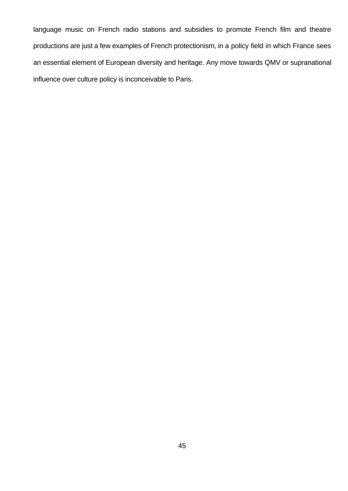language music on French radio stations and subsidies to promote French film and theatre productions are just a few examples of French protectionism, in a policy field in which France sees an essential element of European diversity and heritage. Any move towards QMV or supranational influence over culture policy is inconceivable to Paris.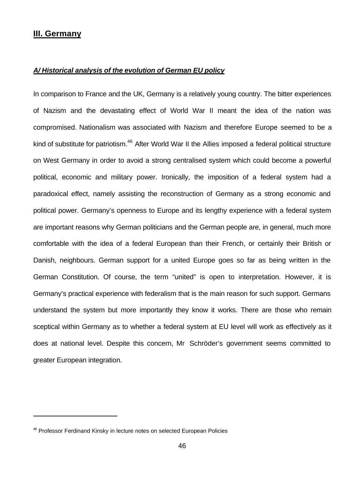### **III. Germany**

j

#### *A/ Historical analysis of the evolution of German EU policy*

In comparison to France and the UK, Germany is a relatively young country. The bitter experiences of Nazism and the devastating effect of World War II meant the idea of the nation was compromised. Nationalism was associated with Nazism and therefore Europe seemed to be a kind of substitute for patriotism.<sup>46</sup> After World War II the Allies imposed a federal political structure on West Germany in order to avoid a strong centralised system which could become a powerful political, economic and military power. Ironically, the imposition of a federal system had a paradoxical effect, namely assisting the reconstruction of Germany as a strong economic and political power. Germany's openness to Europe and its lengthy experience with a federal system are important reasons why German politicians and the German people are, in general, much more comfortable with the idea of a federal European than their French, or certainly their British or Danish, neighbours. German support for a united Europe goes so far as being written in the German Constitution. Of course, the term "united" is open to interpretation. However, it is Germany's practical experience with federalism that is the main reason for such support. Germans understand the system but more importantly they know it works. There are those who remain sceptical within Germany as to whether a federal system at EU level will work as effectively as it does at national level. Despite this concern, Mr Schröder's government seems committed to greater European integration.

<sup>&</sup>lt;sup>46</sup> Professor Ferdinand Kinsky in lecture notes on selected European Policies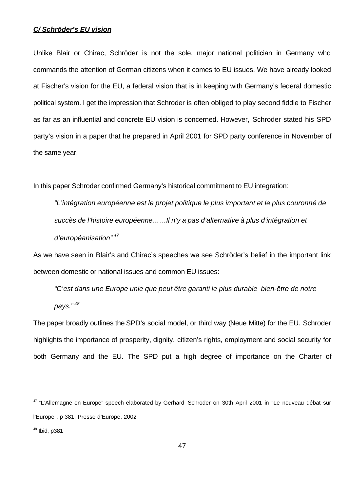#### *C/ Schröder's EU vision*

Unlike Blair or Chirac, Schröder is not the sole, major national politician in Germany who commands the attention of German citizens when it comes to EU issues. We have already looked at Fischer's vision for the EU, a federal vision that is in keeping with Germany's federal domestic political system. I get the impression that Schroder is often obliged to play second fiddle to Fischer as far as an influential and concrete EU vision is concerned. However, Schroder stated his SPD party's vision in a paper that he prepared in April 2001 for SPD party conference in November of the same year.

In this paper Schroder confirmed Germany's historical commitment to EU integration:

*"L'intégration européenne est le projet politique le plus important et le plus couronné de succès de l'histoire européenne... ...Il n'y a pas d'alternative à plus d'intégration et d'européanisation" <sup>47</sup>*

As we have seen in Blair's and Chirac's speeches we see Schröder's belief in the important link between domestic or national issues and common EU issues:

*"C'est dans une Europe unie que peut être garanti le plus durable bien-être de notre pays." <sup>48</sup>*

The paper broadly outlines the SPD's social model, or third way (Neue Mitte) for the EU. Schroder highlights the importance of prosperity, dignity, citizen's rights, employment and social security for both Germany and the EU. The SPD put a high degree of importance on the Charter of

<sup>&</sup>lt;sup>47</sup> "L'Allemagne en Europe" speech elaborated by Gerhard Schröder on 30th April 2001 in "Le nouveau débat sur l'Europe", p 381, Presse d'Europe, 2002

 $48$  Ibid, p $381$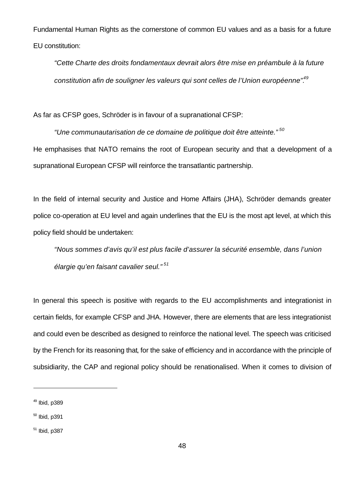Fundamental Human Rights as the cornerstone of common EU values and as a basis for a future EU constitution:

*"Cette Charte des droits fondamentaux devrait alors être mise en préambule à la future constitution afin de souligner les valeurs qui sont celles de l'Union européenne".<sup>49</sup>*

As far as CFSP goes, Schröder is in favour of a supranational CFSP:

*"Une communautarisation de ce domaine de politique doit être atteinte." <sup>50</sup>* He emphasises that NATO remains the root of European security and that a development of a supranational European CFSP will reinforce the transatlantic partnership.

In the field of internal security and Justice and Home Affairs (JHA), Schröder demands greater police co-operation at EU level and again underlines that the EU is the most apt level, at which this policy field should be undertaken:

*"Nous sommes d'avis qu'il est plus facile d'assurer la sécurité ensemble, dans l'union élargie qu'en faisant cavalier seul." <sup>51</sup>*

In general this speech is positive with regards to the EU accomplishments and integrationist in certain fields, for example CFSP and JHA. However, there are elements that are less integrationist and could even be described as designed to reinforce the national level. The speech was criticised by the French for its reasoning that, for the sake of efficiency and in accordance with the principle of subsidiarity, the CAP and regional policy should be renationalised. When it comes to division of

 $49$  Ibid, p389

 $50$  Ibid, p391

 $51$  Ibid, p387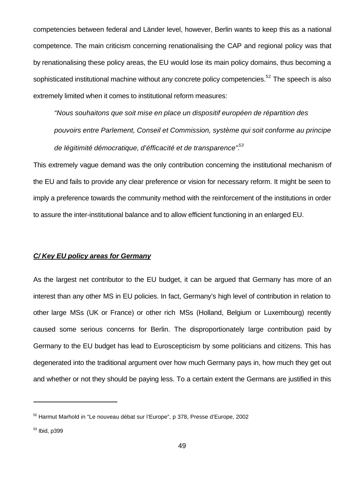competencies between federal and Länder level, however, Berlin wants to keep this as a national competence. The main criticism concerning renationalising the CAP and regional policy was that by renationalising these policy areas, the EU would lose its main policy domains, thus becoming a sophisticated institutional machine without any concrete policy competencies.<sup>52</sup> The speech is also extremely limited when it comes to institutional reform measures:

*"Nous souhaitons que soit mise en place un dispositif européen de répartition des pouvoirs entre Parlement, Conseil et Commission, système qui soit conforme au principe de légitimité démocratique, d'éfficacité et de transparence".<sup>53</sup>*

This extremely vague demand was the only contribution concerning the institutional mechanism of the EU and fails to provide any clear preference or vision for necessary reform. It might be seen to imply a preference towards the community method with the reinforcement of the institutions in order to assure the inter-institutional balance and to allow efficient functioning in an enlarged EU.

#### *C/ Key EU policy areas for Germany*

As the largest net contributor to the EU budget, it can be argued that Germany has more of an interest than any other MS in EU policies. In fact, Germany's high level of contribution in relation to other large MSs (UK or France) or other rich MSs (Holland, Belgium or Luxembourg) recently caused some serious concerns for Berlin. The disproportionately large contribution paid by Germany to the EU budget has lead to Euroscepticism by some politicians and citizens. This has degenerated into the traditional argument over how much Germany pays in, how much they get out and whether or not they should be paying less. To a certain extent the Germans are justified in this

 $52$  Harmut Marhold in "Le nouveau débat sur l'Europe", p 378, Presse d'Europe, 2002

<sup>53</sup> Ibid, p399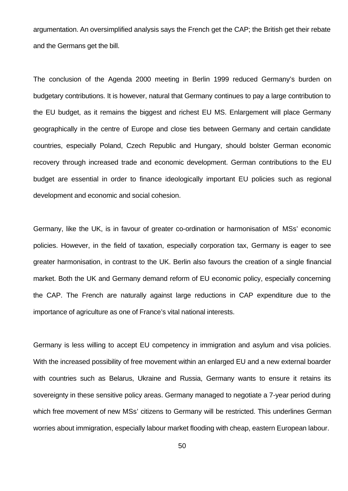argumentation. An oversimplified analysis says the French get the CAP; the British get their rebate and the Germans get the bill.

The conclusion of the Agenda 2000 meeting in Berlin 1999 reduced Germany's burden on budgetary contributions. It is however, natural that Germany continues to pay a large contribution to the EU budget, as it remains the biggest and richest EU MS. Enlargement will place Germany geographically in the centre of Europe and close ties between Germany and certain candidate countries, especially Poland, Czech Republic and Hungary, should bolster German economic recovery through increased trade and economic development. German contributions to the EU budget are essential in order to finance ideologically important EU policies such as regional development and economic and social cohesion.

Germany, like the UK, is in favour of greater co-ordination or harmonisation of MSs' economic policies. However, in the field of taxation, especially corporation tax, Germany is eager to see greater harmonisation, in contrast to the UK. Berlin also favours the creation of a single financial market. Both the UK and Germany demand reform of EU economic policy, especially concerning the CAP. The French are naturally against large reductions in CAP expenditure due to the importance of agriculture as one of France's vital national interests.

Germany is less willing to accept EU competency in immigration and asylum and visa policies. With the increased possibility of free movement within an enlarged EU and a new external boarder with countries such as Belarus, Ukraine and Russia, Germany wants to ensure it retains its sovereignty in these sensitive policy areas. Germany managed to negotiate a 7-year period during which free movement of new MSs' citizens to Germany will be restricted. This underlines German worries about immigration, especially labour market flooding with cheap, eastern European labour.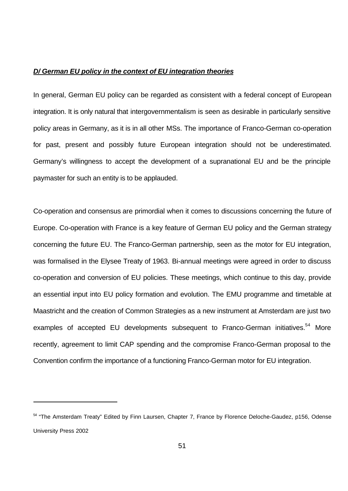#### *D/ German EU policy in the context of EU integration theories*

In general, German EU policy can be regarded as consistent with a federal concept of European integration. It is only natural that intergovernmentalism is seen as desirable in particularly sensitive policy areas in Germany, as it is in all other MSs. The importance of Franco-German co-operation for past, present and possibly future European integration should not be underestimated. Germany's willingness to accept the development of a supranational EU and be the principle paymaster for such an entity is to be applauded.

Co-operation and consensus are primordial when it comes to discussions concerning the future of Europe. Co-operation with France is a key feature of German EU policy and the German strategy concerning the future EU. The Franco-German partnership, seen as the motor for EU integration, was formalised in the Elysee Treaty of 1963. Bi-annual meetings were agreed in order to discuss co-operation and conversion of EU policies. These meetings, which continue to this day, provide an essential input into EU policy formation and evolution. The EMU programme and timetable at Maastricht and the creation of Common Strategies as a new instrument at Amsterdam are just two examples of accepted EU developments subsequent to Franco-German initiatives.<sup>54</sup> More recently, agreement to limit CAP spending and the compromise Franco-German proposal to the Convention confirm the importance of a functioning Franco-German motor for EU integration.

<sup>&</sup>lt;sup>54</sup> "The Amsterdam Treaty" Edited by Finn Laursen, Chapter 7, France by Florence Deloche-Gaudez, p156, Odense University Press 2002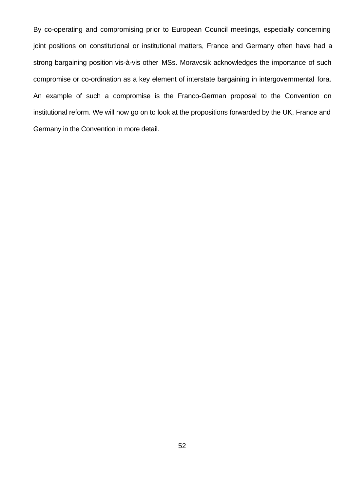By co-operating and compromising prior to European Council meetings, especially concerning joint positions on constitutional or institutional matters, France and Germany often have had a strong bargaining position vis-à-vis other MSs. Moravcsik acknowledges the importance of such compromise or co-ordination as a key element of interstate bargaining in intergovernmental fora. An example of such a compromise is the Franco-German proposal to the Convention on institutional reform. We will now go on to look at the propositions forwarded by the UK, France and Germany in the Convention in more detail.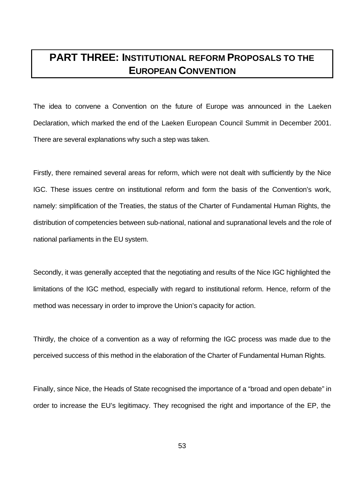# **PART THREE: INSTITUTIONAL REFORM PROPOSALS TO THE EUROPEAN CONVENTION**

The idea to convene a Convention on the future of Europe was announced in the Laeken Declaration, which marked the end of the Laeken European Council Summit in December 2001. There are several explanations why such a step was taken.

Firstly, there remained several areas for reform, which were not dealt with sufficiently by the Nice IGC. These issues centre on institutional reform and form the basis of the Convention's work, namely: simplification of the Treaties, the status of the Charter of Fundamental Human Rights, the distribution of competencies between sub-national, national and supranational levels and the role of national parliaments in the EU system.

Secondly, it was generally accepted that the negotiating and results of the Nice IGC highlighted the limitations of the IGC method, especially with regard to institutional reform. Hence, reform of the method was necessary in order to improve the Union's capacity for action.

Thirdly, the choice of a convention as a way of reforming the IGC process was made due to the perceived success of this method in the elaboration of the Charter of Fundamental Human Rights.

Finally, since Nice, the Heads of State recognised the importance of a "broad and open debate" in order to increase the EU's legitimacy. They recognised the right and importance of the EP, the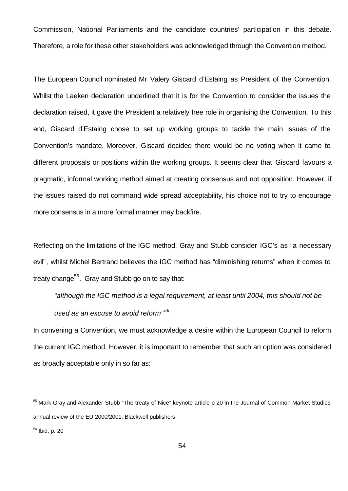Commission, National Parliaments and the candidate countries' participation in this debate. Therefore, a role for these other stakeholders was acknowledged through the Convention method.

The European Council nominated Mr Valery Giscard d'Estaing as President of the Convention. Whilst the Laeken declaration underlined that it is for the Convention to consider the issues the declaration raised, it gave the President a relatively free role in organising the Convention. To this end, Giscard d'Estaing chose to set up working groups to tackle the main issues of the Convention's mandate. Moreover, Giscard decided there would be no voting when it came to different proposals or positions within the working groups. It seems clear that Giscard favours a pragmatic, informal working method aimed at creating consensus and not opposition. However, if the issues raised do not command wide spread acceptability, his choice not to try to encourage more consensus in a more formal manner may backfire.

Reflecting on the limitations of the IGC method, Gray and Stubb consider IGC's as "a necessary evil" , whilst Michel Bertrand believes the IGC method has "diminishing returns" when it comes to treaty change<sup>55</sup>. Gray and Stubb go on to say that:

*"although the IGC method is a legal requirement, at least until 2004, this should not be used as an excuse to avoid reform" <sup>56</sup> .*

In convening a Convention, we must acknowledge a desire within the European Council to reform the current IGC method. However, it is important to remember that such an option was considered as broadly acceptable only in so far as:

<sup>55</sup> Mark Gray and Alexander Stubb "The treaty of Nice" keynote article p 20 in the Journal of Common Market Studies annual review of the EU 2000/2001, Blackwell publishers

<sup>56</sup> Ibid, p. 20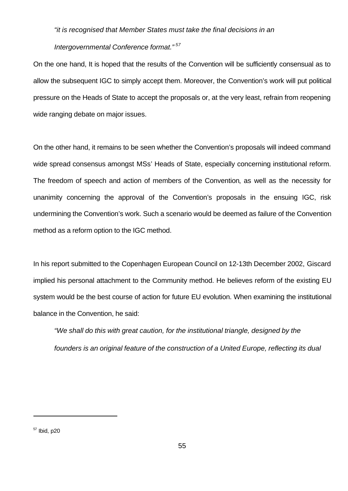#### *"it is recognised that Member States must take the final decisions in an*

#### *Intergovernmental Conference format." <sup>57</sup>*

On the one hand, It is hoped that the results of the Convention will be sufficiently consensual as to allow the subsequent IGC to simply accept them. Moreover, the Convention's work will put political pressure on the Heads of State to accept the proposals or, at the very least, refrain from reopening wide ranging debate on major issues.

On the other hand, it remains to be seen whether the Convention's proposals will indeed command wide spread consensus amongst MSs' Heads of State, especially concerning institutional reform. The freedom of speech and action of members of the Convention, as well as the necessity for unanimity concerning the approval of the Convention's proposals in the ensuing IGC, risk undermining the Convention's work. Such a scenario would be deemed as failure of the Convention method as a reform option to the IGC method.

In his report submitted to the Copenhagen European Council on 12-13th December 2002, Giscard implied his personal attachment to the Community method. He believes reform of the existing EU system would be the best course of action for future EU evolution. When examining the institutional balance in the Convention, he said:

*"We shall do this with great caution, for the institutional triangle, designed by the founders is an original feature of the construction of a United Europe, reflecting its dual* 

 $57$  Ibid, p20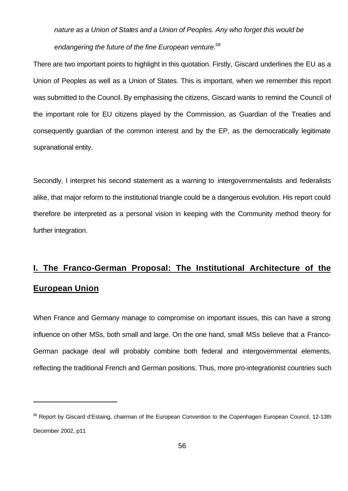# *nature as a Union of States and a Union of Peoples. Any who forget this would be endangering the future of the fine European venture.<sup>58</sup>*

There are two important points to highlight in this quotation. Firstly, Giscard underlines the EU as a Union of Peoples as well as a Union of States. This is important, when we remember this report was submitted to the Council. By emphasising the citizens, Giscard wants to remind the Council of the important role for EU citizens played by the Commission, as Guardian of the Treaties and consequently guardian of the common interest and by the EP, as the democratically legitimate supranational entity.

Secondly, I interpret his second statement as a warning to intergovernmentalists and federalists alike, that major reform to the institutional triangle could be a dangerous evolution. His report could therefore be interpreted as a personal vision in keeping with the Community method theory for further integration.

# **I. The Franco-German Proposal: The Institutional Architecture of the European Union**

When France and Germany manage to compromise on important issues, this can have a strong influence on other MSs, both small and large. On the one hand, small MSs believe that a Franco-German package deal will probably combine both federal and intergovernmental elements, reflecting the traditional French and German positions. Thus, more pro-integrationist countries such

<sup>&</sup>lt;sup>58</sup> Report by Giscard d'Estaing, chairman of the European Convention to the Copenhagen European Council, 12-13th December 2002, p11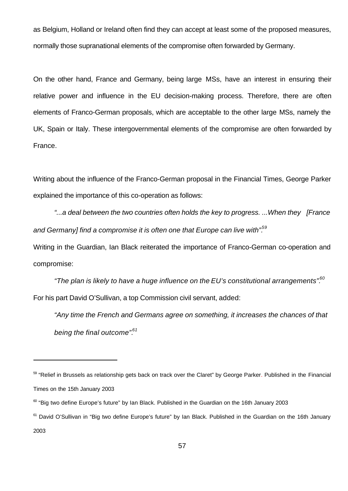as Belgium, Holland or Ireland often find they can accept at least some of the proposed measures, normally those supranational elements of the compromise often forwarded by Germany.

On the other hand, France and Germany, being large MSs, have an interest in ensuring their relative power and influence in the EU decision-making process. Therefore, there are often elements of Franco-German proposals, which are acceptable to the other large MSs, namely the UK, Spain or Italy. These intergovernmental elements of the compromise are often forwarded by France.

Writing about the influence of the Franco-German proposal in the Financial Times, George Parker explained the importance of this co-operation as follows:

*"...a deal between the two countries often holds the key to progress. ...When they [France and Germany] find a compromise it is often one that Europe can live with".<sup>59</sup>*

Writing in the Guardian, Ian Black reiterated the importance of Franco-German co-operation and compromise:

*"The plan is likely to have a huge influence on the EU's constitutional arrangements".<sup>60</sup>* For his part David O'Sullivan, a top Commission civil servant, added:

*"Any time the French and Germans agree on something, it increases the chances of that being the final outcome".<sup>61</sup>*

<sup>&</sup>lt;sup>59</sup> "Relief in Brussels as relationship gets back on track over the Claret" by George Parker. Published in the Financial Times on the 15th January 2003

 $60$  "Big two define Europe's future" by Ian Black. Published in the Guardian on the 16th January 2003

<sup>&</sup>lt;sup>61</sup> David O'Sullivan in "Big two define Europe's future" by Ian Black. Published in the Guardian on the 16th January 2003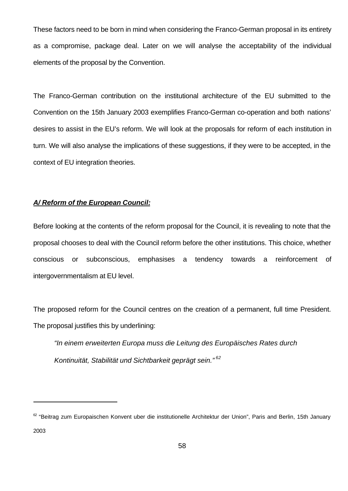These factors need to be born in mind when considering the Franco-German proposal in its entirety as a compromise, package deal. Later on we will analyse the acceptability of the individual elements of the proposal by the Convention.

The Franco-German contribution on the institutional architecture of the EU submitted to the Convention on the 15th January 2003 exemplifies Franco-German co-operation and both nations' desires to assist in the EU's reform. We will look at the proposals for reform of each institution in turn. We will also analyse the implications of these suggestions, if they were to be accepted, in the context of EU integration theories.

#### *A/ Reform of the European Council:*

j

Before looking at the contents of the reform proposal for the Council, it is revealing to note that the proposal chooses to deal with the Council reform before the other institutions. This choice, whether conscious or subconscious, emphasises a tendency towards a reinforcement of intergovernmentalism at EU level.

The proposed reform for the Council centres on the creation of a permanent, full time President. The proposal justifies this by underlining:

*"In einem erweiterten Europa muss die Leitung des Europäisches Rates durch Kontinuität, Stabilität und Sichtbarkeit geprägt sein." <sup>62</sup>*

<sup>62 &</sup>quot;Beitrag zum Europaischen Konvent uber die institutionelle Architektur der Union", Paris and Berlin, 15th January 2003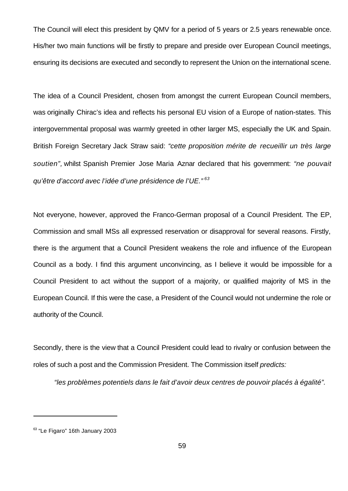The Council will elect this president by QMV for a period of 5 years or 2.5 years renewable once. His/her two main functions will be firstly to prepare and preside over European Council meetings, ensuring its decisions are executed and secondly to represent the Union on the international scene.

The idea of a Council President, chosen from amongst the current European Council members, was originally Chirac's idea and reflects his personal EU vision of a Europe of nation-states. This intergovernmental proposal was warmly greeted in other larger MS, especially the UK and Spain. British Foreign Secretary Jack Straw said: *"cette proposition mérite de recueillir un très large soutien",* whilst Spanish Premier Jose Maria Aznar declared that his government: *"ne pouvait qu'être d'accord avec l'idée d'une présidence de l'UE." <sup>63</sup>*

Not everyone, however, approved the Franco-German proposal of a Council President. The EP, Commission and small MSs all expressed reservation or disapproval for several reasons. Firstly, there is the argument that a Council President weakens the role and influence of the European Council as a body. I find this argument unconvincing, as I believe it would be impossible for a Council President to act without the support of a majority, or qualified majority of MS in the European Council. If this were the case, a President of the Council would not undermine the role or authority of the Council.

Secondly, there is the view that a Council President could lead to rivalry or confusion between the roles of such a post and the Commission President. The Commission itself *predicts:*

*"les problèmes potentiels dans le fait d'avoir deux centres de pouvoir placés à égalité".*

<sup>&</sup>lt;sup>63</sup> "Le Figaro" 16th January 2003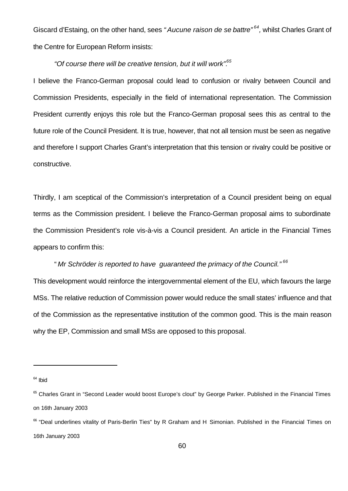Giscard d'Estaing, on the other hand, sees "Aucune raison de se battre"<sup>64</sup>, whilst Charles Grant of the Centre for European Reform insists:

#### *"Of course there will be creative tension, but it will work".<sup>65</sup>*

I believe the Franco-German proposal could lead to confusion or rivalry between Council and Commission Presidents, especially in the field of international representation. The Commission President currently enjoys this role but the Franco-German proposal sees this as central to the future role of the Council President. It is true, however, that not all tension must be seen as negative and therefore I support Charles Grant's interpretation that this tension or rivalry could be positive or constructive.

Thirdly, I am sceptical of the Commission's interpretation of a Council president being on equal terms as the Commission president. I believe the Franco-German proposal aims to subordinate the Commission President's role vis-à-vis a Council president. An article in the Financial Times appears to confirm this:

#### " *Mr Schröder is reported to have guaranteed the primacy of the Council." <sup>66</sup>*

This development would reinforce the intergovernmental element of the EU, which favours the large MSs. The relative reduction of Commission power would reduce the small states' influence and that of the Commission as the representative institution of the common good. This is the main reason why the EP, Commission and small MSs are opposed to this proposal.

 $64$  Ibid

<sup>&</sup>lt;sup>65</sup> Charles Grant in "Second Leader would boost Europe's clout" by George Parker. Published in the Financial Times on 16th January 2003

<sup>&</sup>lt;sup>66</sup> "Deal underlines vitality of Paris-Berlin Ties" by R Graham and H Simonian. Published in the Financial Times on 16th January 2003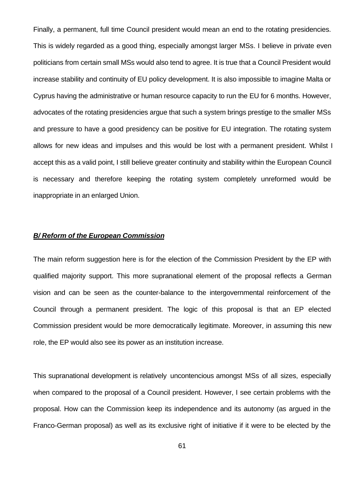Finally, a permanent, full time Council president would mean an end to the rotating presidencies. This is widely regarded as a good thing, especially amongst larger MSs. I believe in private even politicians from certain small MSs would also tend to agree. It is true that a Council President would increase stability and continuity of EU policy development. It is also impossible to imagine Malta or Cyprus having the administrative or human resource capacity to run the EU for 6 months. However, advocates of the rotating presidencies argue that such a system brings prestige to the smaller MSs and pressure to have a good presidency can be positive for EU integration. The rotating system allows for new ideas and impulses and this would be lost with a permanent president. Whilst I accept this as a valid point, I still believe greater continuity and stability within the European Council is necessary and therefore keeping the rotating system completely unreformed would be inappropriate in an enlarged Union.

#### *B/ Reform of the European Commission*

The main reform suggestion here is for the election of the Commission President by the EP with qualified majority support. This more supranational element of the proposal reflects a German vision and can be seen as the counter-balance to the intergovernmental reinforcement of the Council through a permanent president. The logic of this proposal is that an EP elected Commission president would be more democratically legitimate. Moreover, in assuming this new role, the EP would also see its power as an institution increase.

This supranational development is relatively uncontencious amongst MSs of all sizes, especially when compared to the proposal of a Council president. However, I see certain problems with the proposal. How can the Commission keep its independence and its autonomy (as argued in the Franco-German proposal) as well as its exclusive right of initiative if it were to be elected by the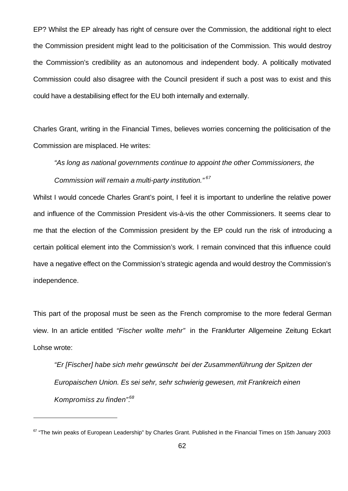EP? Whilst the EP already has right of censure over the Commission, the additional right to elect the Commission president might lead to the politicisation of the Commission. This would destroy the Commission's credibility as an autonomous and independent body. A politically motivated Commission could also disagree with the Council president if such a post was to exist and this could have a destabilising effect for the EU both internally and externally.

Charles Grant, writing in the Financial Times, believes worries concerning the politicisation of the Commission are misplaced. He writes:

*"As long as national governments continue to appoint the other Commissioners, the Commission will remain a multi-party institution." <sup>67</sup>*

Whilst I would concede Charles Grant's point, I feel it is important to underline the relative power and influence of the Commission President vis-à-vis the other Commissioners. It seems clear to me that the election of the Commission president by the EP could run the risk of introducing a certain political element into the Commission's work. I remain convinced that this influence could have a negative effect on the Commission's strategic agenda and would destroy the Commission's independence.

This part of the proposal must be seen as the French compromise to the more federal German view. In an article entitled *"Fischer wollte mehr"* in the Frankfurter Allgemeine Zeitung Eckart Lohse wrote:

*"Er [Fischer] habe sich mehr gewünscht bei der Zusammenführung der Spitzen der Europaischen Union. Es sei sehr, sehr schwierig gewesen, mit Frankreich einen Kompromiss zu finden".<sup>68</sup>*

 $67$  "The twin peaks of European Leadership" by Charles Grant. Published in the Financial Times on 15th January 2003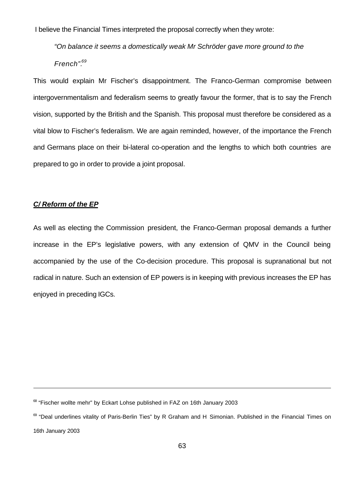I believe the Financial Times interpreted the proposal correctly when they wrote:

*"On balance it seems a domestically weak Mr Schröder gave more ground to the French".<sup>69</sup>*

This would explain Mr Fischer's disappointment. The Franco-German compromise between intergovernmentalism and federalism seems to greatly favour the former, that is to say the French vision, supported by the British and the Spanish. This proposal must therefore be considered as a vital blow to Fischer's federalism. We are again reminded, however, of the importance the French and Germans place on their bi-lateral co-operation and the lengths to which both countries are prepared to go in order to provide a joint proposal.

#### *C/ Reform of the EP*

j

As well as electing the Commission president, the Franco-German proposal demands a further increase in the EP's legislative powers, with any extension of QMV in the Council being accompanied by the use of the Co-decision procedure. This proposal is supranational but not radical in nature. Such an extension of EP powers is in keeping with previous increases the EP has enjoyed in preceding IGCs.

 $68$  "Fischer wollte mehr" by Eckart Lohse published in FAZ on 16th January 2003

<sup>&</sup>lt;sup>69</sup> "Deal underlines vitality of Paris-Berlin Ties" by R Graham and H Simonian. Published in the Financial Times on 16th January 2003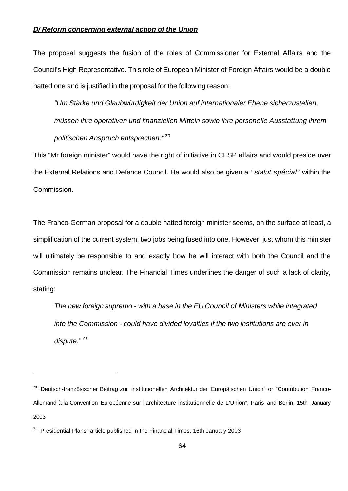#### *D/ Reform concerning external action of the Union*

The proposal suggests the fusion of the roles of Commissioner for External Affairs and the Council's High Representative. This role of European Minister of Foreign Affairs would be a double hatted one and is justified in the proposal for the following reason:

*"Um Stärke und Glaubwürdigkeit der Union auf internationaler Ebene sicherzustellen, müssen ihre operativen und finanziellen Mitteln sowie ihre personelle Ausstattung ihrem politischen Anspruch entsprechen." <sup>70</sup>*

This "Mr foreign minister" would have the right of initiative in CFSP affairs and would preside over the External Relations and Defence Council. He would also be given a *" statut spécial"* within the Commission.

The Franco-German proposal for a double hatted foreign minister seems, on the surface at least, a simplification of the current system: two jobs being fused into one. However, just whom this minister will ultimately be responsible to and exactly how he will interact with both the Council and the Commission remains unclear. The Financial Times underlines the danger of such a lack of clarity, stating:

*The new foreign supremo - with a base in the EU Council of Ministers while integrated into the Commission - could have divided loyalties if the two institutions are ever in dispute." <sup>71</sup>*

<sup>&</sup>lt;sup>70</sup> "Deutsch-französischer Beitrag zur institutionellen Architektur der Europäischen Union" or "Contribution Franco-Allemand à la Convention Européenne sur l'architecture institutionnelle de L'Union", Paris and Berlin, 15th January 2003

 $71$  "Presidential Plans" article published in the Financial Times, 16th January 2003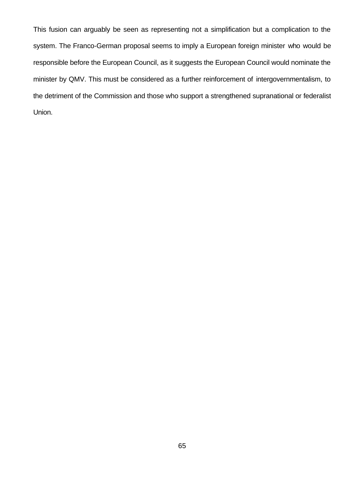This fusion can arguably be seen as representing not a simplification but a complication to the system. The Franco-German proposal seems to imply a European foreign minister who would be responsible before the European Council, as it suggests the European Council would nominate the minister by QMV. This must be considered as a further reinforcement of intergovernmentalism, to the detriment of the Commission and those who support a strengthened supranational or federalist Union.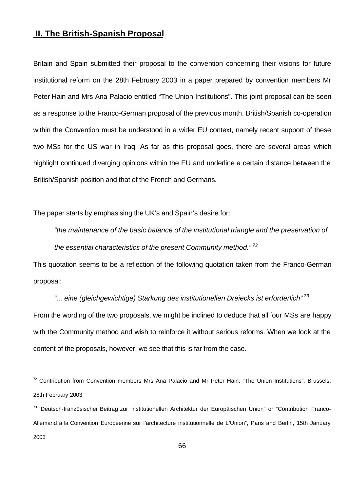## **II. The British-Spanish Proposal**

Britain and Spain submitted their proposal to the convention concerning their visions for future institutional reform on the 28th February 2003 in a paper prepared by convention members Mr Peter Hain and Mrs Ana Palacio entitled "The Union Institutions". This joint proposal can be seen as a response to the Franco-German proposal of the previous month. British/Spanish co-operation within the Convention must be understood in a wider EU context, namely recent support of these two MSs for the US war in Iraq. As far as this proposal goes, there are several areas which highlight continued diverging opinions within the EU and underline a certain distance between the British/Spanish position and that of the French and Germans.

The paper starts by emphasising the UK's and Spain's desire for:

j

*"the maintenance of the basic balance of the institutional triangle and the preservation of the essential characteristics of the present Community method." <sup>72</sup>*

This quotation seems to be a reflection of the following quotation taken from the Franco-German proposal:

*"... eine (gleichgewichtige) Stärkung des institutionellen Dreiecks ist erforderlich" <sup>73</sup>* From the wording of the two proposals, we might be inclined to deduce that all four MSs are happy with the Community method and wish to reinforce it without serious reforms. When we look at the content of the proposals, however, we see that this is far from the case.

 $72$  Contribution from Convention members Mrs Ana Palacio and Mr Peter Hain: "The Union Institutions", Brussels, 28th February 2003

<sup>&</sup>lt;sup>73</sup> "Deutsch-französischer Beitrag zur institutionellen Architektur der Europäischen Union" or "Contribution Franco-Allemand à la Convention Européenne sur l'architecture institutionnelle de L'Union", Paris and Berlin, 15th January 2003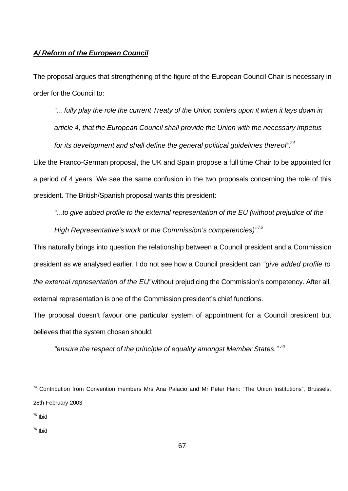#### *A/ Reform of the European Council*

The proposal argues that strengthening of the figure of the European Council Chair is necessary in order for the Council to:

*"... fully play the role the current Treaty of the Union confers upon it when it lays down in article 4, that the European Council shall provide the Union with the necessary impetus for its development and shall define the general political guidelines thereof".<sup>74</sup>*

Like the Franco-German proposal, the UK and Spain propose a full time Chair to be appointed for a period of 4 years. We see the same confusion in the two proposals concerning the role of this president. The British/Spanish proposal wants this president:

*"...to give added profile to the external representation of the EU (without prejudice of the High Representative's work or the Commission's competencies)".<sup>75</sup>*

This naturally brings into question the relationship between a Council president and a Commission president as we analysed earlier. I do not see how a Council president can *"give added profile to the external representation of the EU"* without prejudicing the Commission's competency. After all, external representation is one of the Commission president's chief functions.

The proposal doesn't favour one particular system of appointment for a Council president but believes that the system chosen should:

*"ensure the respect of the principle of equality amongst Member States." <sup>76</sup>*

<sup>&</sup>lt;sup>74</sup> Contribution from Convention members Mrs Ana Palacio and Mr Peter Hain: "The Union Institutions", Brussels, 28th February 2003

<sup>&</sup>lt;sup>75</sup> Ibid

<sup>76</sup> Ibid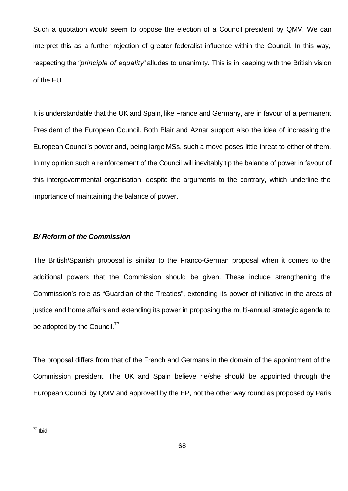Such a quotation would seem to oppose the election of a Council president by QMV. We can interpret this as a further rejection of greater federalist influence within the Council. In this way, respecting the *"principle of equality"* alludes to unanimity. This is in keeping with the British vision of the EU.

It is understandable that the UK and Spain, like France and Germany, are in favour of a permanent President of the European Council. Both Blair and Aznar support also the idea of increasing the European Council's power and, being large MSs, such a move poses little threat to either of them. In my opinion such a reinforcement of the Council will inevitably tip the balance of power in favour of this intergovernmental organisation, despite the arguments to the contrary, which underline the importance of maintaining the balance of power.

#### *B/ Reform of the Commission*

The British/Spanish proposal is similar to the Franco-German proposal when it comes to the additional powers that the Commission should be given. These include strengthening the Commission's role as "Guardian of the Treaties", extending its power of initiative in the areas of justice and home affairs and extending its power in proposing the multi-annual strategic agenda to be adopted by the Council. $^{77}$ 

The proposal differs from that of the French and Germans in the domain of the appointment of the Commission president. The UK and Spain believe he/she should be appointed through the European Council by QMV and approved by the EP, not the other way round as proposed by Paris

<sup>77</sup> Ibid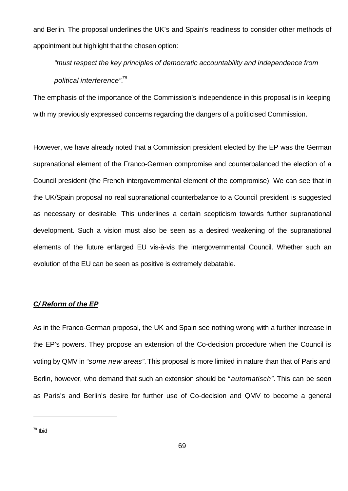and Berlin. The proposal underlines the UK's and Spain's readiness to consider other methods of appointment but highlight that the chosen option:

*"must respect the key principles of democratic accountability and independence from political interference".<sup>78</sup>*

The emphasis of the importance of the Commission's independence in this proposal is in keeping with my previously expressed concerns regarding the dangers of a politicised Commission.

However, we have already noted that a Commission president elected by the EP was the German supranational element of the Franco-German compromise and counterbalanced the election of a Council president (the French intergovernmental element of the compromise). We can see that in the UK/Spain proposal no real supranational counterbalance to a Council president is suggested as necessary or desirable. This underlines a certain scepticism towards further supranational development. Such a vision must also be seen as a desired weakening of the supranational elements of the future enlarged EU vis-à-vis the intergovernmental Council. Whether such an evolution of the EU can be seen as positive is extremely debatable.

#### *C/ Reform of the EP*

As in the Franco-German proposal, the UK and Spain see nothing wrong with a further increase in the EP's powers. They propose an extension of the Co-decision procedure when the Council is voting by QMV in *"some new areas".* This proposal is more limited in nature than that of Paris and Berlin, however, who demand that such an extension should be *" automatisch".* This can be seen as Paris's and Berlin's desire for further use of Co-decision and QMV to become a general

<sup>78</sup> Ibid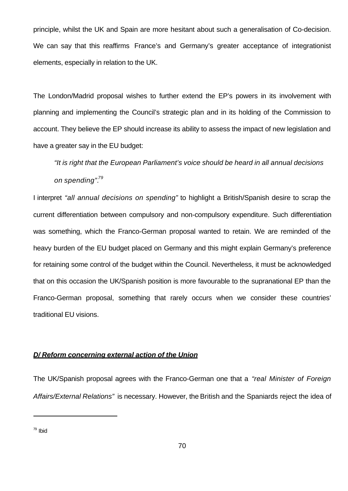principle, whilst the UK and Spain are more hesitant about such a generalisation of Co-decision. We can say that this reaffirms France's and Germany's greater acceptance of integrationist elements, especially in relation to the UK.

The London/Madrid proposal wishes to further extend the EP's powers in its involvement with planning and implementing the Council's strategic plan and in its holding of the Commission to account. They believe the EP should increase its ability to assess the impact of new legislation and have a greater say in the EU budget:

*"It is right that the European Parliament's voice should be heard in all annual decisions on spending".<sup>79</sup>*

I interpret *"all annual decisions on spending"* to highlight a British/Spanish desire to scrap the current differentiation between compulsory and non-compulsory expenditure. Such differentiation was something, which the Franco-German proposal wanted to retain. We are reminded of the heavy burden of the EU budget placed on Germany and this might explain Germany's preference for retaining some control of the budget within the Council. Nevertheless, it must be acknowledged that on this occasion the UK/Spanish position is more favourable to the supranational EP than the Franco-German proposal, something that rarely occurs when we consider these countries' traditional EU visions.

## *D/ Reform concerning external action of the Union*

The UK/Spanish proposal agrees with the Franco-German one that a *"real Minister of Foreign Affairs/External Relations"* is necessary. However, the British and the Spaniards reject the idea of

<sup>79</sup> Ibid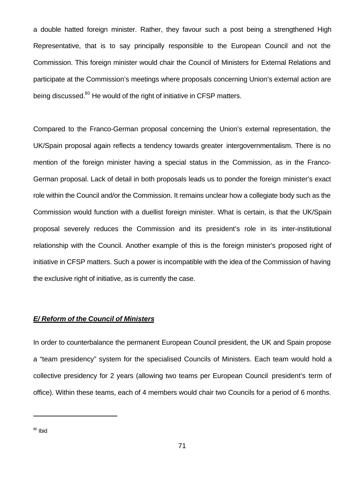a double hatted foreign minister. Rather, they favour such a post being a strengthened High Representative, that is to say principally responsible to the European Council and not the Commission. This foreign minister would chair the Council of Ministers for External Relations and participate at the Commission's meetings where proposals concerning Union's external action are being discussed.<sup>80</sup> He would of the right of initiative in CFSP matters.

Compared to the Franco-German proposal concerning the Union's external representation, the UK/Spain proposal again reflects a tendency towards greater intergovernmentalism. There is no mention of the foreign minister having a special status in the Commission, as in the Franco-German proposal. Lack of detail in both proposals leads us to ponder the foreign minister's exact role within the Council and/or the Commission. It remains unclear how a collegiate body such as the Commission would function with a duellist foreign minister. What is certain, is that the UK/Spain proposal severely reduces the Commission and its president's role in its inter-institutional relationship with the Council. Another example of this is the foreign minister's proposed right of initiative in CFSP matters. Such a power is incompatible with the idea of the Commission of having the exclusive right of initiative, as is currently the case.

#### *E/ Reform of the Council of Ministers*

In order to counterbalance the permanent European Council president, the UK and Spain propose a "team presidency" system for the specialised Councils of Ministers. Each team would hold a collective presidency for 2 years (allowing two teams per European Council president's term of office). Within these teams, each of 4 members would chair two Councils for a period of 6 months.

<sup>80</sup> Ibid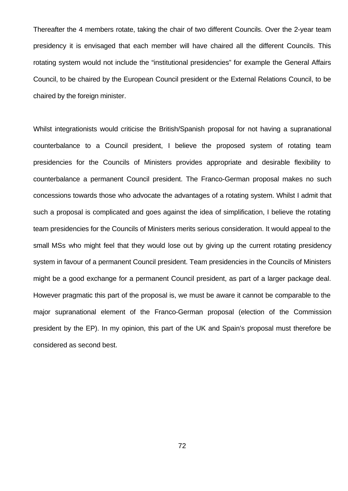Thereafter the 4 members rotate, taking the chair of two different Councils. Over the 2-year team presidency it is envisaged that each member will have chaired all the different Councils. This rotating system would not include the "institutional presidencies" for example the General Affairs Council, to be chaired by the European Council president or the External Relations Council, to be chaired by the foreign minister.

Whilst integrationists would criticise the British/Spanish proposal for not having a supranational counterbalance to a Council president, I believe the proposed system of rotating team presidencies for the Councils of Ministers provides appropriate and desirable flexibility to counterbalance a permanent Council president. The Franco-German proposal makes no such concessions towards those who advocate the advantages of a rotating system. Whilst I admit that such a proposal is complicated and goes against the idea of simplification, I believe the rotating team presidencies for the Councils of Ministers merits serious consideration. It would appeal to the small MSs who might feel that they would lose out by giving up the current rotating presidency system in favour of a permanent Council president. Team presidencies in the Councils of Ministers might be a good exchange for a permanent Council president, as part of a larger package deal. However pragmatic this part of the proposal is, we must be aware it cannot be comparable to the major supranational element of the Franco-German proposal (election of the Commission president by the EP). In my opinion, this part of the UK and Spain's proposal must therefore be considered as second best.

72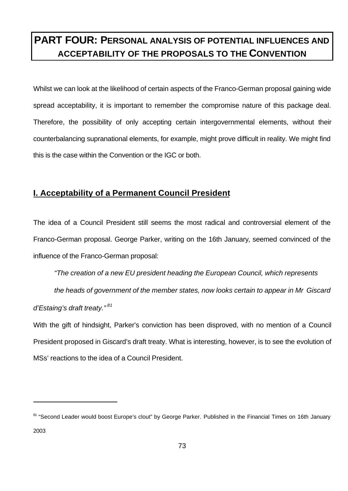# **PART FOUR: PERSONAL ANALYSIS OF POTENTIAL INFLUENCES AND ACCEPTABILITY OF THE PROPOSALS TO THE CONVENTION**

Whilst we can look at the likelihood of certain aspects of the Franco-German proposal gaining wide spread acceptability, it is important to remember the compromise nature of this package deal. Therefore, the possibility of only accepting certain intergovernmental elements, without their counterbalancing supranational elements, for example, might prove difficult in reality. We might find this is the case within the Convention or the IGC or both.

## **I. Acceptability of a Permanent Council President**

j

The idea of a Council President still seems the most radical and controversial element of the Franco-German proposal. George Parker, writing on the 16th January, seemed convinced of the influence of the Franco-German proposal:

*"The creation of a new EU president heading the European Council, which represents* 

*the heads of government of the member states, now looks certain to appear in Mr Giscard d'Estaing's draft treaty." <sup>81</sup>*

With the gift of hindsight, Parker's conviction has been disproved, with no mention of a Council President proposed in Giscard's draft treaty. What is interesting, however, is to see the evolution of MSs' reactions to the idea of a Council President.

<sup>&</sup>lt;sup>81</sup> "Second Leader would boost Europe's clout" by George Parker. Published in the Financial Times on 16th January 2003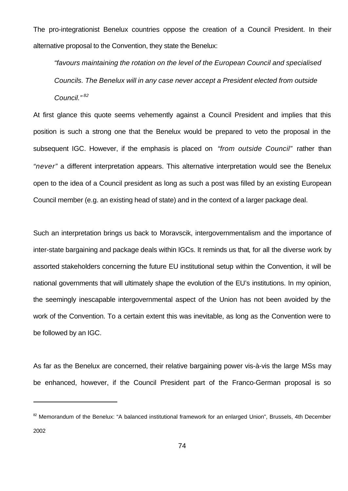The pro-integrationist Benelux countries oppose the creation of a Council President. In their alternative proposal to the Convention, they state the Benelux:

*"favours maintaining the rotation on the level of the European Council and specialised Councils. The Benelux will in any case never accept a President elected from outside Council." <sup>82</sup>*

At first glance this quote seems vehemently against a Council President and implies that this position is such a strong one that the Benelux would be prepared to veto the proposal in the subsequent IGC. However, if the emphasis is placed on *"from outside Council"* rather than *"never"* a different interpretation appears. This alternative interpretation would see the Benelux open to the idea of a Council president as long as such a post was filled by an existing European Council member (e.g. an existing head of state) and in the context of a larger package deal.

Such an interpretation brings us back to Moravscik, intergovernmentalism and the importance of inter-state bargaining and package deals within IGCs. It reminds us that, for all the diverse work by assorted stakeholders concerning the future EU institutional setup within the Convention, it will be national governments that will ultimately shape the evolution of the EU's institutions. In my opinion, the seemingly inescapable intergovernmental aspect of the Union has not been avoided by the work of the Convention. To a certain extent this was inevitable, as long as the Convention were to be followed by an IGC.

As far as the Benelux are concerned, their relative bargaining power vis-à-vis the large MSs may be enhanced, however, if the Council President part of the Franco-German proposal is so

<sup>&</sup>lt;sup>82</sup> Memorandum of the Benelux: "A balanced institutional framework for an enlarged Union", Brussels, 4th December 2002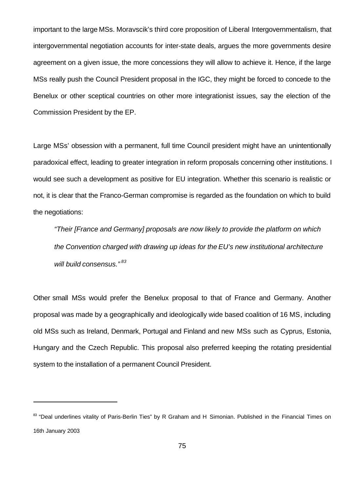important to the large MSs. Moravscik's third core proposition of Liberal Intergovernmentalism, that intergovernmental negotiation accounts for inter-state deals, argues the more governments desire agreement on a given issue, the more concessions they will allow to achieve it. Hence, if the large MSs really push the Council President proposal in the IGC, they might be forced to concede to the Benelux or other sceptical countries on other more integrationist issues, say the election of the Commission President by the EP.

Large MSs' obsession with a permanent, full time Council president might have an unintentionally paradoxical effect, leading to greater integration in reform proposals concerning other institutions. I would see such a development as positive for EU integration. Whether this scenario is realistic or not, it is clear that the Franco-German compromise is regarded as the foundation on which to build the negotiations:

*"Their [France and Germany] proposals are now likely to provide the platform on which the Convention charged with drawing up ideas for the EU's new institutional architecture will build consensus." <sup>83</sup>*

Other small MSs would prefer the Benelux proposal to that of France and Germany. Another proposal was made by a geographically and ideologically wide based coalition of 16 MS, including old MSs such as Ireland, Denmark, Portugal and Finland and new MSs such as Cyprus, Estonia, Hungary and the Czech Republic. This proposal also preferred keeping the rotating presidential system to the installation of a permanent Council President.

<sup>&</sup>lt;sup>83</sup> "Deal underlines vitality of Paris-Berlin Ties" by R Graham and H Simonian. Published in the Financial Times on 16th January 2003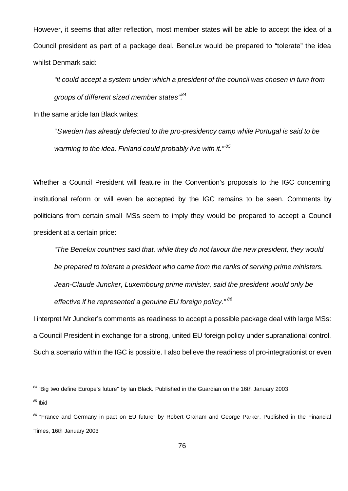However, it seems that after reflection, most member states will be able to accept the idea of a Council president as part of a package deal. Benelux would be prepared to "tolerate" the idea whilst Denmark said:

*"it could accept a system under which a president of the council was chosen in turn from groups of different sized member states".<sup>84</sup>*

In the same article Ian Black writes:

j

*"Sweden has already defected to the pro-presidency camp while Portugal is said to be warming to the idea. Finland could probably live with it." <sup>85</sup>*

Whether a Council President will feature in the Convention's proposals to the IGC concerning institutional reform or will even be accepted by the IGC remains to be seen. Comments by politicians from certain small MSs seem to imply they would be prepared to accept a Council president at a certain price:

*"The Benelux countries said that, while they do not favour the new president, they would be prepared to tolerate a president who came from the ranks of serving prime ministers. Jean-Claude Juncker, Luxembourg prime minister, said the president would only be effective if he represented a genuine EU foreign policy." <sup>86</sup>*

I interpret Mr Juncker's comments as readiness to accept a possible package deal with large MSs: a Council President in exchange for a strong, united EU foreign policy under supranational control. Such a scenario within the IGC is possible. I also believe the readiness of pro-integrationist or even

<sup>&</sup>lt;sup>84</sup> "Big two define Europe's future" by Ian Black. Published in the Guardian on the 16th January 2003  $85$  Ibid

<sup>&</sup>lt;sup>86</sup> "France and Germany in pact on EU future" by Robert Graham and George Parker. Published in the Financial Times, 16th January 2003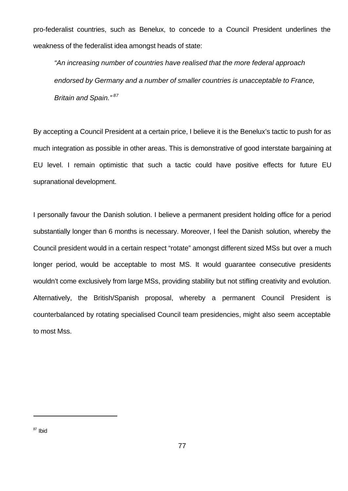pro-federalist countries, such as Benelux, to concede to a Council President underlines the weakness of the federalist idea amongst heads of state:

*"An increasing number of countries have realised that the more federal approach endorsed by Germany and a number of smaller countries is unacceptable to France, Britain and Spain." <sup>87</sup>*

By accepting a Council President at a certain price, I believe it is the Benelux's tactic to push for as much integration as possible in other areas. This is demonstrative of good interstate bargaining at EU level. I remain optimistic that such a tactic could have positive effects for future EU supranational development.

I personally favour the Danish solution. I believe a permanent president holding office for a period substantially longer than 6 months is necessary. Moreover, I feel the Danish solution, whereby the Council president would in a certain respect "rotate" amongst different sized MSs but over a much longer period, would be acceptable to most MS. It would guarantee consecutive presidents wouldn't come exclusively from large MSs, providing stability but not stifling creativity and evolution. Alternatively, the British/Spanish proposal, whereby a permanent Council President is counterbalanced by rotating specialised Council team presidencies, might also seem acceptable to most Mss.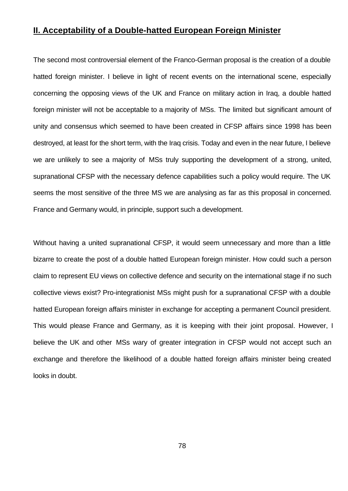## **II. Acceptability of a Double-hatted European Foreign Minister**

The second most controversial element of the Franco-German proposal is the creation of a double hatted foreign minister. I believe in light of recent events on the international scene, especially concerning the opposing views of the UK and France on military action in Iraq, a double hatted foreign minister will not be acceptable to a majority of MSs. The limited but significant amount of unity and consensus which seemed to have been created in CFSP affairs since 1998 has been destroyed, at least for the short term, with the Iraq crisis. Today and even in the near future, I believe we are unlikely to see a majority of MSs truly supporting the development of a strong, united, supranational CFSP with the necessary defence capabilities such a policy would require. The UK seems the most sensitive of the three MS we are analysing as far as this proposal in concerned. France and Germany would, in principle, support such a development.

Without having a united supranational CFSP, it would seem unnecessary and more than a little bizarre to create the post of a double hatted European foreign minister. How could such a person claim to represent EU views on collective defence and security on the international stage if no such collective views exist? Pro-integrationist MSs might push for a supranational CFSP with a double hatted European foreign affairs minister in exchange for accepting a permanent Council president. This would please France and Germany, as it is keeping with their joint proposal. However, I believe the UK and other MSs wary of greater integration in CFSP would not accept such an exchange and therefore the likelihood of a double hatted foreign affairs minister being created looks in doubt.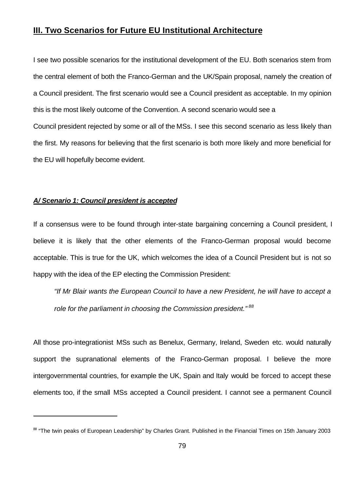## **III. Two Scenarios for Future EU Institutional Architecture**

I see two possible scenarios for the institutional development of the EU. Both scenarios stem from the central element of both the Franco-German and the UK/Spain proposal, namely the creation of a Council president. The first scenario would see a Council president as acceptable. In my opinion this is the most likely outcome of the Convention. A second scenario would see a Council president rejected by some or all of the MSs. I see this second scenario as less likely than the first. My reasons for believing that the first scenario is both more likely and more beneficial for the EU will hopefully become evident.

#### *A/ Scenario 1: Council president is accepted*

j

If a consensus were to be found through inter-state bargaining concerning a Council president, I believe it is likely that the other elements of the Franco-German proposal would become acceptable. This is true for the UK, which welcomes the idea of a Council President but is not so happy with the idea of the EP electing the Commission President:

*"If Mr Blair wants the European Council to have a new President, he will have to accept a role for the parliament in choosing the Commission president." <sup>88</sup>*

All those pro-integrationist MSs such as Benelux, Germany, Ireland, Sweden etc. would naturally support the supranational elements of the Franco-German proposal. I believe the more intergovernmental countries, for example the UK, Spain and Italy would be forced to accept these elements too, if the small MSs accepted a Council president. I cannot see a permanent Council

<sup>&</sup>lt;sup>88</sup> "The twin peaks of European Leadership" by Charles Grant. Published in the Financial Times on 15th January 2003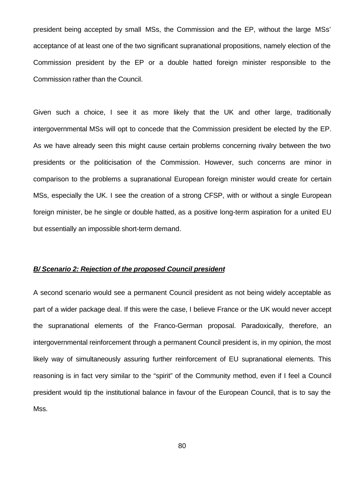president being accepted by small MSs, the Commission and the EP, without the large MSs' acceptance of at least one of the two significant supranational propositions, namely election of the Commission president by the EP or a double hatted foreign minister responsible to the Commission rather than the Council.

Given such a choice, I see it as more likely that the UK and other large, traditionally intergovernmental MSs will opt to concede that the Commission president be elected by the EP. As we have already seen this might cause certain problems concerning rivalry between the two presidents or the politicisation of the Commission. However, such concerns are minor in comparison to the problems a supranational European foreign minister would create for certain MSs, especially the UK. I see the creation of a strong CFSP, with or without a single European foreign minister, be he single or double hatted, as a positive long-term aspiration for a united EU but essentially an impossible short-term demand.

#### *B/ Scenario 2: Rejection of the proposed Council president*

A second scenario would see a permanent Council president as not being widely acceptable as part of a wider package deal. If this were the case, I believe France or the UK would never accept the supranational elements of the Franco-German proposal. Paradoxically, therefore, an intergovernmental reinforcement through a permanent Council president is, in my opinion, the most likely way of simultaneously assuring further reinforcement of EU supranational elements. This reasoning is in fact very similar to the "spirit" of the Community method, even if I feel a Council president would tip the institutional balance in favour of the European Council, that is to say the Mss.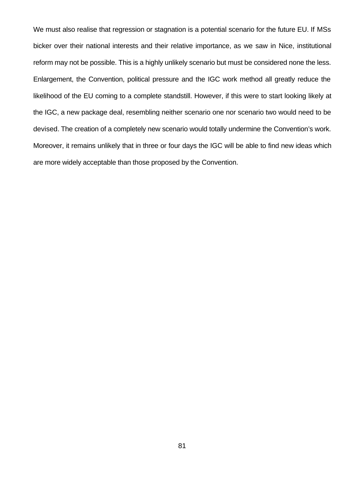We must also realise that regression or stagnation is a potential scenario for the future EU. If MSs bicker over their national interests and their relative importance, as we saw in Nice, institutional reform may not be possible. This is a highly unlikely scenario but must be considered none the less. Enlargement, the Convention, political pressure and the IGC work method all greatly reduce the likelihood of the EU coming to a complete standstill. However, if this were to start looking likely at the IGC, a new package deal, resembling neither scenario one nor scenario two would need to be devised. The creation of a completely new scenario would totally undermine the Convention's work. Moreover, it remains unlikely that in three or four days the IGC will be able to find new ideas which are more widely acceptable than those proposed by the Convention.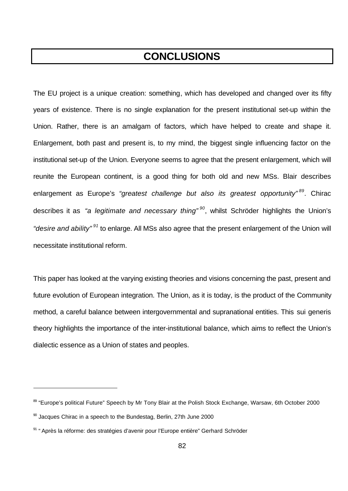# **CONCLUSIONS**

The EU project is a unique creation: something, which has developed and changed over its fifty years of existence. There is no single explanation for the present institutional set-up within the Union. Rather, there is an amalgam of factors, which have helped to create and shape it. Enlargement, both past and present is, to my mind, the biggest single influencing factor on the institutional set-up of the Union. Everyone seems to agree that the present enlargement, which will reunite the European continent, is a good thing for both old and new MSs. Blair describes enlargement as Europe's *"greatest challenge but also its greatest opportunity" <sup>89</sup>* . Chirac describes it as *"a legitimate and necessary thing" <sup>90</sup>* , whilst Schröder highlights the Union's *"desire and ability" <sup>91</sup>* to enlarge. All MSs also agree that the present enlargement of the Union will necessitate institutional reform.

This paper has looked at the varying existing theories and visions concerning the past, present and future evolution of European integration. The Union, as it is today, is the product of the Community method, a careful balance between intergovernmental and supranational entities. This sui generis theory highlights the importance of the inter-institutional balance, which aims to reflect the Union's dialectic essence as a Union of states and peoples.

<sup>89 &</sup>quot;Europe's political Future" Speech by Mr Tony Blair at the Polish Stock Exchange, Warsaw, 6th October 2000

 $90$  Jacques Chirac in a speech to the Bundestag, Berlin, 27th June 2000

<sup>&</sup>lt;sup>91</sup> "Après la réforme: des stratégies d'avenir pour l'Europe entière" Gerhard Schröder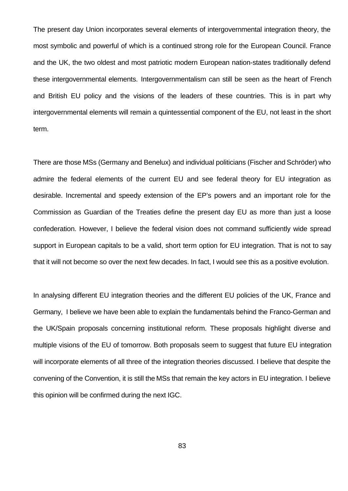The present day Union incorporates several elements of intergovernmental integration theory, the most symbolic and powerful of which is a continued strong role for the European Council. France and the UK, the two oldest and most patriotic modern European nation-states traditionally defend these intergovernmental elements. Intergovernmentalism can still be seen as the heart of French and British EU policy and the visions of the leaders of these countries. This is in part why intergovernmental elements will remain a quintessential component of the EU, not least in the short term.

There are those MSs (Germany and Benelux) and individual politicians (Fischer and Schröder) who admire the federal elements of the current EU and see federal theory for EU integration as desirable. Incremental and speedy extension of the EP's powers and an important role for the Commission as Guardian of the Treaties define the present day EU as more than just a loose confederation. However, I believe the federal vision does not command sufficiently wide spread support in European capitals to be a valid, short term option for EU integration. That is not to say that it will not become so over the next few decades. In fact, I would see this as a positive evolution.

In analysing different EU integration theories and the different EU policies of the UK, France and Germany, I believe we have been able to explain the fundamentals behind the Franco-German and the UK/Spain proposals concerning institutional reform. These proposals highlight diverse and multiple visions of the EU of tomorrow. Both proposals seem to suggest that future EU integration will incorporate elements of all three of the integration theories discussed. I believe that despite the convening of the Convention, it is still the MSs that remain the key actors in EU integration. I believe this opinion will be confirmed during the next IGC.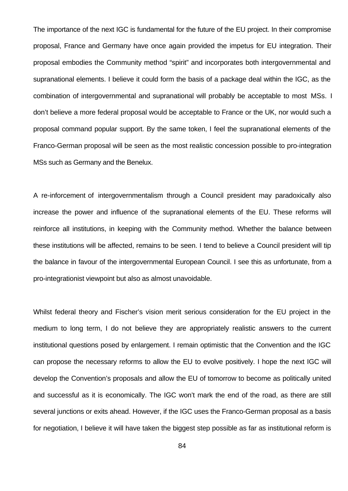The importance of the next IGC is fundamental for the future of the EU project. In their compromise proposal, France and Germany have once again provided the impetus for EU integration. Their proposal embodies the Community method "spirit" and incorporates both intergovernmental and supranational elements. I believe it could form the basis of a package deal within the IGC, as the combination of intergovernmental and supranational will probably be acceptable to most MSs. I don't believe a more federal proposal would be acceptable to France or the UK, nor would such a proposal command popular support. By the same token, I feel the supranational elements of the Franco-German proposal will be seen as the most realistic concession possible to pro-integration MSs such as Germany and the Benelux.

A re-inforcement of intergovernmentalism through a Council president may paradoxically also increase the power and influence of the supranational elements of the EU. These reforms will reinforce all institutions, in keeping with the Community method. Whether the balance between these institutions will be affected, remains to be seen. I tend to believe a Council president will tip the balance in favour of the intergovernmental European Council. I see this as unfortunate, from a pro-integrationist viewpoint but also as almost unavoidable.

Whilst federal theory and Fischer's vision merit serious consideration for the EU project in the medium to long term, I do not believe they are appropriately realistic answers to the current institutional questions posed by enlargement. I remain optimistic that the Convention and the IGC can propose the necessary reforms to allow the EU to evolve positively. I hope the next IGC will develop the Convention's proposals and allow the EU of tomorrow to become as politically united and successful as it is economically. The IGC won't mark the end of the road, as there are still several junctions or exits ahead. However, if the IGC uses the Franco-German proposal as a basis for negotiation, I believe it will have taken the biggest step possible as far as institutional reform is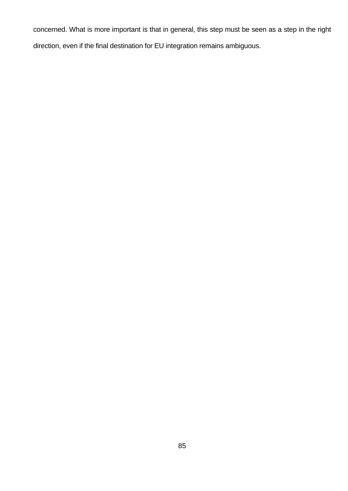concerned. What is more important is that in general, this step must be seen as a step in the right direction, even if the final destination for EU integration remains ambiguous.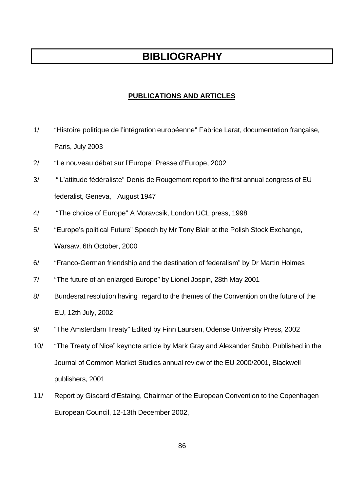## **BIBLIOGRAPHY**

### **PUBLICATIONS AND ARTICLES**

- 1/ "Histoire politique de l'intégration européenne" Fabrice Larat, documentation française, Paris, July 2003
- 2/ "Le nouveau débat sur l'Europe" Presse d'Europe, 2002
- 3/ " L'attitude fédéraliste" Denis de Rougemont report to the first annual congress of EU federalist, Geneva, August 1947
- 4/ "The choice of Europe" A Moravcsik, London UCL press, 1998
- 5/ "Europe's political Future" Speech by Mr Tony Blair at the Polish Stock Exchange, Warsaw, 6th October, 2000
- 6/ "Franco-German friendship and the destination of federalism" by Dr Martin Holmes
- 7/ "The future of an enlarged Europe" by Lionel Jospin, 28th May 2001
- 8/ Bundesrat resolution having regard to the themes of the Convention on the future of the EU, 12th July, 2002
- 9/ "The Amsterdam Treaty" Edited by Finn Laursen, Odense University Press, 2002
- 10/ "The Treaty of Nice" keynote article by Mark Gray and Alexander Stubb. Published in the Journal of Common Market Studies annual review of the EU 2000/2001, Blackwell publishers, 2001
- 11/ Report by Giscard d'Estaing, Chairman of the European Convention to the Copenhagen European Council, 12-13th December 2002,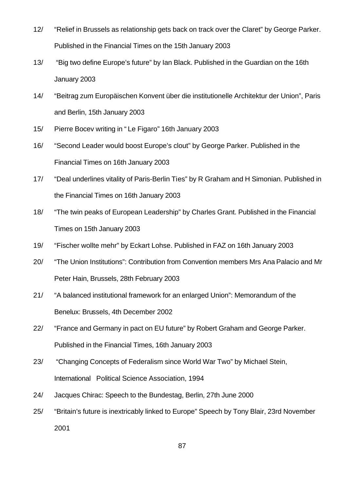- 12/ "Relief in Brussels as relationship gets back on track over the Claret" by George Parker. Published in the Financial Times on the 15th January 2003
- 13/ "Big two define Europe's future" by Ian Black. Published in the Guardian on the 16th January 2003
- 14/ "Beitrag zum Europäischen Konvent über die institutionelle Architektur der Union", Paris and Berlin, 15th January 2003
- 15/ Pierre Bocev writing in " Le Figaro" 16th January 2003
- 16/ "Second Leader would boost Europe's clout" by George Parker. Published in the Financial Times on 16th January 2003
- 17/ "Deal underlines vitality of Paris-Berlin Ties" by R Graham and H Simonian. Published in the Financial Times on 16th January 2003
- 18/ "The twin peaks of European Leadership" by Charles Grant. Published in the Financial Times on 15th January 2003
- 19/ "Fischer wollte mehr" by Eckart Lohse. Published in FAZ on 16th January 2003
- 20/ "The Union Institutions": Contribution from Convention members Mrs Ana Palacio and Mr Peter Hain, Brussels, 28th February 2003
- 21/ "A balanced institutional framework for an enlarged Union": Memorandum of the Benelux: Brussels, 4th December 2002
- 22/ "France and Germany in pact on EU future" by Robert Graham and George Parker. Published in the Financial Times, 16th January 2003
- 23/ "Changing Concepts of Federalism since World War Two" by Michael Stein, International Political Science Association, 1994
- 24/ Jacques Chirac: Speech to the Bundestag, Berlin, 27th June 2000
- 25/ "Britain's future is inextricably linked to Europe" Speech by Tony Blair, 23rd November 2001